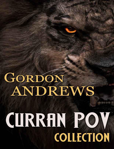# GORDON<br>ANDREWS

## **CURRAN POV COLLECTION**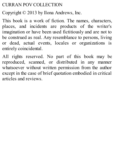#### CURRAN POV COLLECTION

Copyright © 2013 by Ilona Andrews, Inc.

This book is a work of fiction. The names, characters, places, and incidents are products of the writer's imagination or have been used fictitiously and are not to be construed as real. Any resemblance to persons, living or dead, actual events, locales or organizations is entirely coincidental.

All rights reserved. No part of this book may be reproduced, scanned, or distributed in any manner whatsoever without written permission from the author except in the case of brief quotation embodied in critical articles and reviews.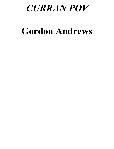### *CURRAN POV*

## **Gordon Andrews**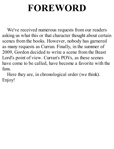## **FOREWORD**

We've received numerous requests from our readers asking us what this or that character thought about certain scenes from the books. However, nobody has garnered as many requests as Curran. Finally, in the summer of 2009, Gordon decided to write a scene from the Beast Lord's point of view. Curran's POVs, as these scenes have come to be called, have become a favorite with the fans.

Here they are, in chronological order (we think). Enjoy!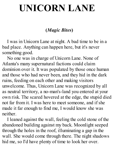## **UNICORN LANE**

#### **(***Magic Bites***)**

I was in Unicorn Lane at night. A bad time to be in a bad place. Anything can happen here, but it's never something good.

No one was in charge of Unicorn Lane. None of Atlanta's many supernatural factions could claim dominion over it. It was populated by those once human and those who had never been, and they hid in the dark ruins, feeding on each other and making visitors unwelcome. Thus, Unicorn Lane was recognized by all as neutral territory, a no-man's-land you entered at your own risk. The scared hovered at the edge, the stupid died not far from it. I was here to meet someone, and if she made it far enough to find me, I would know she was neither.

I leaned against the wall, feeling the cold stone of the abandoned building against my back. Moonlight seeped through the holes in the roof, illuminating a gap in the wall. She would come through there. The night shadows hid me, so I'd have plenty of time to look her over.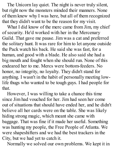The Unicorn lay quiet. The night is never truly silent, but right now the monsters minded their manners. None of them knew why I was here, but all of them recognized that they didn't want to be the reason for my visit.

What I did know of the merc came from Jim, my chief of security. He'd worked with her in the Mercenary Guild. That gave me pause. Jim was a cat and preferred the solitary hunt. It was rare for him to let anyone outside the Pack watch his back. He said she was fast, for a human, and good with a blade. He also said she had a big mouth and fought when she should run. None of this endeared her to me. Mercs were bottom-feeders. No honor, no integrity, no loyalty. They didn't stand for anything. I wasn't in the habit of personally meeting lowlife thugs who wanted to be tough guys. I had people for that.

However, I was willing to take a chance this time since Jim had vouched for her. Jim had seen her come out of situations that should have ended her, and he didn't believe all her cards were on the table. She was likely hiding strong magic, which meant she came with baggage. That was fine if it made her useful. Something was hunting my people, the Free People of Atlanta. We were shapeshifters and we had the best trackers in the City, but we had yet to catch it.

Normally we solved our own problems. We kept it in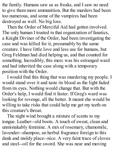the family. Humans saw us as freaks, and I saw no need to give them more ammunition. But the murders had been too numerous, and some of the vampires had been destroyed as well. No big loss.

Then the Order of Merciful Aid had gotten involved. The only human I trusted in that organization of fanatics, a Knight Diviner of the Order, had been investigating the case and was killed for it, presumably by the same creature. I have little love and less use for humans, but Greg Feldman had died helping us, and that counted for something. Incredibly, this merc was his estranged ward and had inherited the case along with a temporary position with the Order.

I would find this thing that was murdering my people. I would stand over it and taste its blood as the light faded from its eyes. Nothing would change that. But with the Order's help, I would find it faster. If Greg's ward was looking for revenge, all the better. It meant she would be willing to take risks that could help me get my teeth on this creature's throat.

The night wind brought a mixture of scents to my tongue. Leather--old boots. A touch of sweat, clean and unmistakably feminine. A mix of rosemary, chamomile, lavender--shampoo, an herbal fragrance foreign to this dank and moldy place--nice. A very faint trace of cloves and steel--oil for the sword. She was near and moving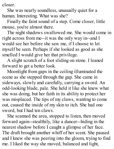closer.

She was nearly soundless, unusually quiet for a human. Interesting. What was she?

Finally the faint sound of a step. Come closer, little mouse, you're almost there.

The night shadows swallowed me. She would come in right across from me--it was the only way in--and I would see her before she saw me, if I choose to let myself be seen. Perhaps if she looked as good as she smelled I would give her that privilege.

A slight scratch of a foot sliding on stone. I leaned forward to get a better look.

Moonlight from gaps in the ceiling illuminated the scene as she stepped through the gap. She came in sideways, slowly and carefully, carrying a sword. An odd-looking blade, pale. She held it like she knew what she was doing, but her faith in its ability to protect her was misplaced. The tips of my claws, wanting to come out, caused the inside of my skin to itch. She had one sword, but I had ten claws.

She scanned the area, stopped to listen, then moved forward again--stealthily, like a dancer--hiding in the nearest shadow before I caught a glimpse of her face. The draft brought another whiff of her scent. She paused and I knew she was peering into the gloom, trying to find me. I liked the way she moved, balanced and light,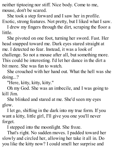neither tiptoeing nor stiff. Nice body. Come to me, mouse, don't be scared.

She took a step forward and I saw her in profile. Exotic, strong features. Not pretty, but I liked what I saw.

I drew my fingers through the dirt, scraping the floor a little.

She pivoted on one foot, turning her sword. Fast. Her head snapped toward me. Dark eyes stared straight at me. I detected no fear. Instead, it was a look of challenge. So not a mouse after all, but something more. This could be interesting. I'd let her dance in the dirt a bit more. She was fun to watch.

She crouched with her hand out. What the hell was she doing...?

"Here, kitty, kitty, kitty."

Oh my God. She was an imbecile, and I was going to kill Jim.

She blinked and stared at me. She'd seen my eyes glow.

I let go, shifting in the dark into my true form. If you want a kitty, little girl, I'll give you one you'll never forget.

I stepped into the moonlight. She froze.

That's right. No sudden moves. I padded toward her slowly and circled her, allowing her take it all in. Do you like the kitty now? I could smell her surprise and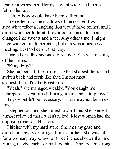fear. Our gazes met. Her eyes went wide, and then she fell on her ass.

Heh. A bow would have been sufficient.

I retreated into the shadows of the corner. I wasn't sure what effect a laughing lion would have on her, and I didn't want her to faint. I reverted to human form and changed into sweats and a tee. Any other time, I might have walked out to her as is, but this was a business meeting. Best to keep it that way.

I gave her a few seconds to recover. She was dusting off her jeans.

"Kitty, kitty?"

She jumped a bit. Smart girl. Most shapeshifters can't switch back and forth like that. I'm not most shapeshifters. I'm the Beast Lord.

"Yeah," she managed weakly. "You caught me unprepared. Next time I'll bring cream and catnip toys."

Toys wouldn't be necessary. "There may not be a next time."

I stepped out and she turned toward me. She seemed almost relieved that I wasn't naked. Most women had the opposite reaction. Her loss.

I hit her with my hard stare. She met my gaze and didn't look away or cringe. Points for her. She was tall for a woman, maybe two or three inches shorter than me. Young, maybe early- or mid-twenties. She looked strong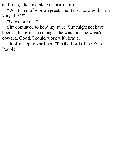and lithe, like an athlete or martial artist.

"What kind of woman greets the Beast Lord with 'here, kitty kitty'?"

"One of a kind."

She continued to hold my stare. She might not have been as funny as she thought she was, but she wasn't a coward. Good. I could work with brave.

I took a step toward her. "I'm the Lord of the Free People."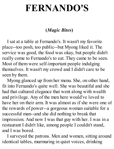## **FERNANDO'S**

#### **(***Magic Bites***)**

I sat at a table at Fernando's. It wasn't my favorite place--too posh, too public--but Myong liked it. The service was good, the food was okay, but people didn't really come to Fernando's to eat. They came to be seen. Most of them were self-important people indulging themselves. It wasn't my crowd and I didn't care to be seen by them.

Myong glanced up from her menu. She, on other hand, fit into Fernando's quite well. She was beautiful and she had that cultured elegance that went along with wealth and privilege. Any of the men here would've loved to have her on their arm. It was almost as if she were one of the rewards of power--a gorgeous woman suitable for a successful man--and she did nothing to break that impression. And now I was that guy with her. I was in a restaurant I didn't like, among people I couldn't stand, and I was bored.

I surveyed the patrons. Men and women, sitting around identical tables, murmuring in quiet voices, drinking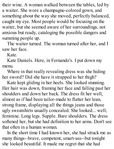their wine. A woman walked between the tables, led by a waiter. She wore a champagne-colored gown, and something about the way she moved, perfectly balanced, caught my eye. Most people would be focusing on the waiter, but she seemed aware of her surroundings, not anxious but ready, cataloging the possible dangers and summing people up.

The waiter turned. The woman turned after her, and I saw her face.

Kate.

Kate Daniels. Here, in Fernando's. I put down my menu.

Where in that really revealing dress was she hiding her sword? Did she have it strapped to her thigh?

Kate kept gliding in her heels. She looked stunning. Her hair was down, framing her face and falling past her shoulders and down her back. The dress fit her well, almost as if had been tailor-made to flatter her lean, strong frame, displaying all the things jeans and those ugly sweatshirts usually concealed. She looked... well, feminine. Long legs. Supple. Bare shoulders. The dress softened her, but she had definition to her arms. Don't see that often in a human woman.

In the short time I had known her, she had struck me as many things--brave, competent, smart-ass--but tonight she looked beautiful. It made me regret that she had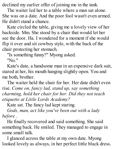declined my earlier offer of joining me in the tank.

The waiter led her to a table where a man sat alone. She was on a date. And the poor fool wasn't even armed. He didn't stand a chance.

Kate circled the table, giving me a lovely view of her backside. Mm. She stood by a chair that would let her see the door. Ha. I wondered for a moment if she would flip it over and sit cowboy style, with the back of the chair protecting her stomach.

"Is something funny?" Myong asked.

"No."

Kate's date, a handsome man in an expensive dark suit, stared at her, his mouth hanging slightly open. You and me both, brother.

The waiter held the chair for her. Her date didn't even rise. *Come on, fancy lad, stand up, say something charming, hold her chair for her. Did they not teach etiquette at Little Lords Academy?*

Kate sat. The fancy lad kept staring.

*Gods, man, act like you've been out with a lady before* .

He finally recovered and said something. She said something back. He smiled. They managed to engage in some small talk.

I glanced across the table at my own date. Myong looked lovely as always, in her perfect little black dress.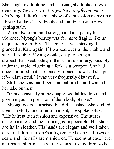She caught me looking, and as usual, she looked down demurely. *Yes, yes, I get it, you're not of ering me a challenge.* I didn't need a show of submission every time I looked at her. This Beauty and the Beast routine was getting stale.

Where Kate radiated strength and a capacity for violence, Myong's beauty was far more fragile, like an exquisite crystal bird. The contrast was striking. I glanced at Kate again. If I walked over to their table and started trouble, Myong would, despite being a shapeshifter, seek safety rather than risk injury, possibly under the table, clutching a fork as a weapon. She had once confided that she found violence--how had she put it?--"distasteful." I was very frequently distasteful.

Still, she was intelligent and cultured, and I wanted her take on them.

"Glance casually at the couple two tables down and give me your impression of them both, please."

Myong looked surprised but did as asked. She studied them carefully, and after a moment, she spoke softly. "His haircut is in fashion and expensive. The suit is custom made, and the tailoring is impeccable. His shoes are Italian leather. His hands are elegant and well taken care of. I don't think he's a fighter. He has no calluses or scars and his nails are manicured. He seems at ease here, an important man. The waiter seems to know him, so he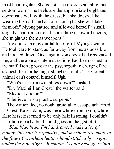must be a regular. She is not. The dress is suitable, but seldom worn. The heels are the appropriate height and coordinate well with the dress, but she doesn't like wearing them. If she has to run or fight, she will take them off." Myong paused and allowed herself a small, slightly superior smile. "If something untoward occurs, she might use them as weapons."

A waiter came by our table to refill Myong's water. He took care to stand as far away from me as possible and looked down. Once again, somebody had recognized me, and the appropriate instructions had been issued to the staff. Don't provoke the psychopath in charge of the shapeshifters or he might slaughter us all. The violent animal can't control himself. Ugh.

"Who's that man two tables down?" I asked.

"Dr. Maximillian Crest," the waiter said.

"Medical doctor?"

"I believe he's a plastic surgeon."

The waiter fled, no doubt grateful to escape unharmed. Crest, Kate's date, was meanwhile droning on, while Kate herself seemed to be only half listening. I couldn't hear him clearly, but I could guess at the gist of it.

*"Blah blah blah, I'm handsome, I make a lot of money, this suit is expensive, and my shoes are made of the finest Corinthian leather hand stitched by virgins under the moonlight. Of course, I could have gone into*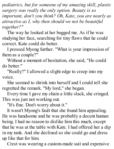*pediatrics, but for someone of my amazing skill, plastic surgery was really the only option. Beauty is so important, don't you think? Oh, Kate, you are nearly as attractive as I, why then should we not be beautiful together?"*

The way he looked at her bugged me. As if he was studying her face, searching for tiny flaws that he could correct. Kate could do better.

I pressed Myong further. "What is your impression of them as a couple?"

Without a moment of hesitation, she said, "He could do better."

"Really?" I allowed a slight edge to creep into my voice.

She seemed to shrink into herself and I could tell she regretted the remark. "My lord," she began.

Every time I gave my chain a little slack, she cringed. This was just not working out.

"It's fine. Don't worry about it."

It wasn't Myong's fault that she found him appealing. He was handsome and he was probably a decent human being. I had no reason to dislike him this much, except that he was at the table with Kate. I had offered her a dip in my tank. And she declined so she could go and dress up like that for him.

Crest was wearing a custom-made suit and expensive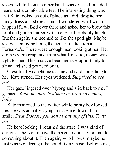shoes, while I, on the other hand, was dressed in faded jeans and a comfortable tee. The interesting thing was that Kate looked as out of place as I did, despite her fancy dress and shoes. Hmm. I wondered what would happen if I walked over there and asked her to blow this joint and grab a burger with me. She'd probably laugh. But then again, she seemed to like the spotlight. Maybe she was enjoying being the center of attention at Fernando's. There were enough men looking at her. Her clothes were crap, and from what Jim said, money was tight for her. This must've been her rare opportunity to shine and she'd pounced on it.

Crest finally caught me staring and said something to her. Kate turned. Her eyes widened. *Surprised to see me?*

Her gaze lingered over Myong and slid back to me. I grinned. *Yeah, my date is almost as pretty as yours, baby.*

Kate motioned to the waiter while pretty boy looked at me. He was actually trying to stare me down. I hid a smile. *Dear Doctor, you don't want any of this. Trust me.*

He kept looking. I returned the stare. I was kind of curious if he would have the nerve to come over and do something about it. Then again, who knows, maybe he just was wondering if he could fix my nose. Believe me,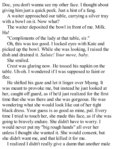Doc, you don't wanna see my other face. I thought about giving him just a quick peek. Just a hint of a fang.

A waiter approached our table, carrying a silver tray with a bowl on it. Now what?

The waiter deposited the bowl in front of me. Milk. Ha!

"Compliments of the lady at that table, sir."

Oh, this was too good. I locked eyes with Kate and picked up the bowl. While she was looking, I raised the dish and drained it. *Salute! Your move, baby.*

She smiled.

Crest was glaring now. He tossed his napkin on the table. Uh-oh. I wondered if I was supposed to faint or flee.

He shifted his gaze and let it linger over Myong. It was meant to provoke me, but instead he just looked at her, caught off guard, as if he'd just realized for the first time that she was there and she was gorgeous. He was wondering what she would look like out of her tight black dress. Your guess is as good as mine, pal. Every time I tried to touch her, she made this face, as if she was going to bravely endure. She didn't have to worry. I would never put my "big rough hands" all over her unless I thought she wanted it. She would consent, but she didn't want me, and that killed it for me.

I realized I didn't really give a damn that another male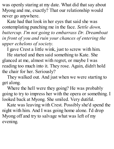was openly staring at my date. What did that say about Myong and me, exactly? That our relationship would never go anywhere.

Kate had that look in her eyes that said she was contemplating punching me in the face. *Settle down, buttercup. I'm not going to embarrass Dr. Dreamboat in front of you and ruin your chances of entering the upper echelons of society.*

I gave Crest a little wink, just to screw with him.

He started and then said something to Kate. She glanced at me, almost with regret, or maybe I was reading too much into it. They rose. Again, didn't hold the chair for her. Seriously?

They walked out. And just when we were starting to get along.

Where the hell were they going? He was probably going to try to impress her with the opera or something. I looked back at Myong. She smiled. Very dutiful.

Kate was leaving with Crest. Possibly she'd spend the night with him. And I was going home alone. I'd drop Myong off and try to salvage what was left of my evening.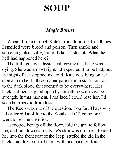## **SOUP**

#### **(***Magic Burns***)**

When I broke through Kate's front door, the first things I smelled were blood and poison. Then smoke and something else, salty, bitter. Like a fish tank. What the hell had happened here?

The little girl was hysterical, crying that Kate was dying. She was almost right. I'd expected it to be bad, but the sight of her stopped me cold. Kate was lying on her stomach in her bathroom, her pale skin in stark contrast to the dark blood that seemed to be everywhere. Her back had been ripped open by something with savage strength. In that moment, I realized I could lose her. I'd seen humans die from less.

The Keep was out of the question. Too far. That's why I'd ordered Doolittle to the Southeast Office before I went to rescue the idiot.

I scooped her up off the floor, told the girl to follow me, and ran downstairs. Kate's skin was on fire. I loaded her into the front seat of the Jeep, stuffed the kid in the back, and drove out of there with one hand on Kate's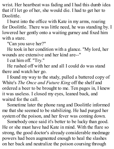wrist. Her heartbeat was fading and I had this dumb idea that if I let go of her, she would die. I had to get her to Doolittle.

I burst into the office with Kate in my arms, roaring for Doolittle. There was little need, he was standing by. I lowered her gently onto a waiting gurney and fixed him with a stare.

"Can you save her?"

He took in her condition with a glance. "My lord, her wounds are extensive and her kind are--"

I cut him off. "Try."

He rushed off with her and all I could do was stand there and watch her go.

I found my way to the study, pulled a battered copy of White's *The Once and Future King* off the shelf and ordered a beer to be brought to me. Ten pages in, I knew it was useless. I closed my eyes, leaned back, and waited for the call.

Sometime later the phone rang and Doolittle informed me that she seemed to be stabilizing. He had purged her system of the poison, and her fever was coming down.

Somebody once said it's better to be lucky than good. He or she must have had Kate in mind. With the flare so strong, the good doctor's already considerable medmage powers had been augmented enough to heal the slashes on her back and neutralize the poison coursing through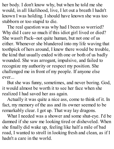her body. I don't know why, but when he told me she would, in all likelihood, live, I let out a breath I hadn't known I was holding. I should have known she was too stubborn or too stupid to die.

The real question was why had I been so worried? Why did I care so much if this idiot girl lived or died? She wasn't Pack--not quite human, but not one of us either. Whenever she blundered into my life waving that toothpick of hers around, I knew there would be trouble, the kind that usually ended with one or both of us badly wounded. She was arrogant, impulsive, and failed to recognize my authority or respect my position. She challenged me in front of my people. If anyone else ever...

But she was funny, sometimes, and never boring. God, it would almost be worth it to see her face when she realized I had saved her ass again.

Actually it was quite a nice ass, come to think of it. In fact, my memory of the ass and its owner seemed to be remarkably clear. I got up. That way lay dragons.

What I needed was a shower and some shut-eye. I'd be damned if she saw me looking tired or disheveled. When she finally did wake up, feeling like half a mile of bad road, I wanted to stroll in looking fresh and clean, as if I hadn't a care in the world.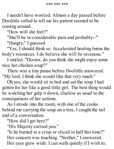I needn't have worried. Almost a day passed before Doolittle called to tell me his patient seemed to be coming around.

"How will she feel?"

"She'll be in considerable pain and probably--"

"Hungry," I guessed.

"Yes, I should think so. Accelerated healing burns the body's resources. I do believe she will be ravenous."

I smiled. "Doctor, do you think she might enjoy some nice hot chicken soup?"

There was a tiny pause before Doolittle answered. "My lord, I think she would like that very much."

Oh yes, she would sit in bed and eat the soup I had gotten for her like a good little girl. The best thing would be watching her gulp it down, clueless as usual to the consequences of her actions.

As I strode into the room, with one of the cooks behind me carrying the soup on a tray, I caught the tail end of a conversation.

"How did I get here?"

"His Majesty carried you."

"Is he burned to a crisp or sliced in half this time?" Her concern was touching. "Neither," I answered. Her eyes grew wide. I can walk quietly if I wish to;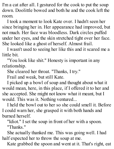I'm a cat after all. I gestured for the cook to put the soup down. Doolittle bowed and both he and the cook left the room.

I took a moment to look Kate over. I hadn't seen her since bringing her in. Her appearance had improved, but not much. Her face was bloodless. Dark circles puffed under her eyes, and the skin stretched tight over her face. She looked like a ghost of herself. Almost frail.

I wasn't used to seeing her like this and it scared me a little bit.

"You look like shit." Honesty is important in any relationship.

She cleared her throat. "Thanks, I try."

Frail and weak, but still Kate.

I picked up a bowl of soup and thought about what it would mean, here, in this place, if I offered it to her and she accepted. She might not know what it meant, but I would. This was it. Nothing ventured...

I held the bowl out to her so she could smell it. Before I could warn her, she grasped it with both hands and burned herself.

"Idiot." I set the soup in front of her with a spoon. "Thanks."

She actually thanked me. This was going well. I had half expected her to throw the soup at me.

Kate grabbed the spoon and went at it. That's right, eat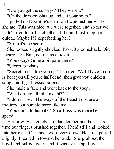it.

"Did you get the surveys? They were..."

"On the dresser. Shut up and eat your soup."

I pulled up Doolittle's chair and watched her while she ate. This was nice, we were together, and so far we hadn't tried to kill each other. If I could just keep her quiet... Maybe if I kept feeding her?

"So that's the secret."

She looked slightly shocked. No witty comeback. Did I scare her? Nah, not the ass-kicker.

"You okay? Gone a bit pale there."

"Secret to what?"

"Secret to shutting you up." I smiled. "All I have to do is beat you till you're half dead, then give you chicken soup, and I get blessed silence."

She made a face and went back to the soup.

"What did you think I meant?"

"I don't know. The ways of the Beast Lord are a mystery to a humble merc like me."

"You don't do humble." Smart-ass was more her speed.

Her bowl was empty, so I handed her another. This time our fingers brushed together. I held still and looked into her eyes. Our faces were very close. Her lips parted slightly. I leaned in toward her and... She grabbed the bowl and pulled away, and it was as if a spell was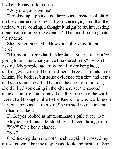broken. Funny little mouse.

"Why did you save me?"

"I picked up a phone and there was a hysterical child on the other end, crying that you were dying and that the undead were coming. I thought it might be an interesting conclusion to a boring evening." That and I fucking hate the undead.

She looked puzzled. "How did Julie know to call here?"

"Hit redial from what I understand. Smart kid. You're going to tell me what you've blundered into." I wasn't asking. My people had crawled all over her place, sniffing every inch. There had been three assailants, none human. No bodies, but some evidence of a fire and dents and stains on the wall. The best they could figure out, she'd killed something in the kitchen, set the second attacker on fire, and rammed the third one into the wall. Derek had brought Julie to the Keep. He was working on her, but she was a street kid. She trusted no one and so far hadn't talked.

Dark eyes looked at me from Kate's pale face. "No." Maybe she'd misunderstood. She'd been through a lot. "No?" Give her a chance.

"No."

God fucking damn it, not this shit again. I crossed my arms and gave her my displeased look and meant it. She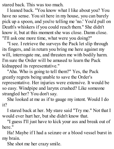stared back. This was too much.

I leaned back. "You know what I like about you? You have no sense. You sit here in my house, you can barely pick up a spoon, and you're telling me 'no.' You'd pull on Death's whiskers if you could reach them." She didn't know it, but at this moment she was close. Damn close. "I'll ask one more time, what were you doing?"

"I see. I retrieve the surveys the Pack let slip through its fingers, and in return you bring me here against my will, interrogate me, and threaten me with bodily harm. I'm sure the Order will be amused to learn the Pack kidnapped its representative."

"Aha. Who is going to tell them?" Yes, the Pack greatly regrets being unable to save the Order's representative. Her injuries were extensive. It would be so easy. Windpipe and larynx crushed? Like someone strangled her? You don't say.

She looked at me as if to gauge my intent. Would I do it?

I stared back at her. My stare said "Try me." Not that I would ever hurt her, but she didn't know that.

"I guess I'll just have to kick your ass and break out of here."

Ha! Maybe if I had a seizure or a blood vessel burst in my brain.

She shot me her crazy smile.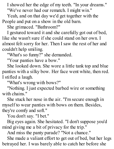I showed her the edge of my teeth. "In your dreams." "We've never had our rematch. I might win."

Yeah, and on that day we'd get together with the People and put on a show in the old barn.

She grimaced. "Bathroom?"

I gestured toward it and she carefully got out of bed, like she wasn't sure if she could stand on her own. I almost felt sorry for her. Then I saw the rest of her and couldn't help smiling.

"What's so funny?" she demanded.

"Your panties have a bow."

She looked down. She wore a little tank top and blue panties with a silky bow. Her face went white, then red. I stifled a laugh.

"What's wrong with bows?"

"Nothing. I just expected barbed wire or something with chains."

She stuck her nose in the air. "I'm secure enough in myself to wear panties with bows on them. Besides, they're comfy and soft."

You don't say. "I bet."

Big eyes again. She hesitated. "I don't suppose you'd mind giving me a bit of privacy for the trip."

And miss the panty parade? "Not a chance."

She made a valiant effort to get out of bed, but her legs betrayed her. I was barely able to catch her before she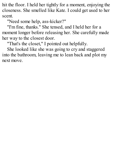hit the floor. I held her tightly for a moment, enjoying the closeness. She smelled like Kate. I could get used to her scent.

"Need some help, ass-kicker?"

"I'm fine, thanks." She tensed, and I held her for a moment longer before releasing her. She carefully made her way to the closest door.

"That's the closet," I pointed out helpfully.

She looked like she was going to cry and staggered into the bathroom, leaving me to lean back and plot my next move.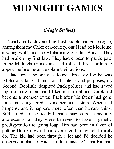## **MIDNIGHT GAMES**

#### **(***Magic Strikes***)**

Nearly half a dozen of my best people had gone rogue, among them my Chief of Security, our Head of Medicine, a young wolf, and the Alpha male of Clan Bouda. They had broken my first law. They had chosen to participate in the Midnight Games and had refused direct orders to appear before me and explain their actions.

I had never before questioned Jim's loyalty; he was Alpha of Clan Cat and, for all intents and purposes, my Second. Doolittle despised Pack politics and had saved my life more often than I liked to think about. Derek had become a member of the Pack after his father had gone loup and slaughtered his mother and sisters. When that happens, and it happens more often than humans think, SOP used to be to kill male survivors, especially adolescents, as they were believed to have a genetic predisposition to going loup. Jim had been in favor of putting Derek down. I had overruled him, which I rarely do. The kid had been through a lot and I'd decided he deserved a chance. Had I made a mistake? That Raphael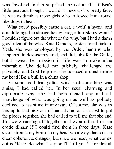was involved in this surprised me not at all. If Bea's little peacock thought I wouldn't mess up his pretty face, he was as dumb as those girls who followed him around like dogs in heat.

What could possibly cause a cat, a wolf, a hyena, and a middle-aged medmage honey badger to risk my wrath? I couldn't figure out the what or the why, but I had a damn good idea of the who. Kate Daniels, professional fuckup. Yeah, she was employed by the Order, humans who happened to despise my kind, and did jobs for the Guild, but I swear her mission in life was to make mine miserable. She defied me publicly, challenged me privately, and God help me, she bounced around inside my head like a bull in a china shop.

As soon as I had gotten wind that something was amiss, I had called her. In her usual charming and diplomatic way, she had both denied any and all knowledge of what was going on as well as politely declined to assist me in any way. Of course, she was in this up to that nice ass of hers. Later, as I started to put the pieces together, she had called to tell me that she and Jim were running off together and even offered me an erotic dinner if I could find them in three days. Kate short-circuits my brain. In my head we always have these clear coherent exchanges, but once we meet, what comes out is "Kate, do what I say or I'll kill you." Her default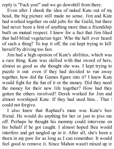reply is "Fuck you!" and we go downhill from there.

Even after I shook the idea of naked Kate out of my head, the big picture still made no sense. Jim and Kate had worked together on odd jobs for the Guild, but there had never been a hint of anything more than a friendship built on mutual respect. I knew for a fact that Jim liked that half-blind vegetarian tiger. Who the hell ever heard of such a thing? To top it off, the cat kept trying to kill herself by driving too fast.

Jim had a high opinion of Kate's abilities, which was a rare thing. Kate was skilled with that sword of hers, almost as good as she thought she was. I kept trying to puzzle it out: even if they had decided to run away together, how did the Games figure into it? I knew Kate would fight for the fun of it or the money. Did they need the money for their new life together? How had they gotten the others involved? Derek worked for Jim and almost worshiped Kate. If they had used him... That I could not forgive.

I also knew that Raphael's mate was Kate's best friend. He would do anything for her or just to piss me off. Perhaps he thought his mommy could intervene on his behalf if he got caught. I almost hoped Bea would interfere and get tangled up in it. After all, she's been a thorn in my paw for as long as I can remember. It would feel good to remove it. Since Mahon wasn't mixed up in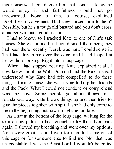this nonsense, I could give him that honor. I knew he would enjoy it and faithfulness should not go unrewarded. None of this, of course, explained Doolittle's involvement. Had they forced him to help? Possibly, but he's a tough old bastard and you don't cross a badger without a good reason.

I had to know, so I tracked Kate to one of Jim's safe houses. She was alone but I could smell the others; they had been there recently. Derek was hurt, I could sense it. That had driven me over the edge, and I had leaped at her without looking. Right into a loup cage.

When I had stopped roaring, Kate explained it all. I now knew about the Wolf Diamond and the Rakshasas. I understood why Kate had felt compelled to do these things. It made sense; she was trying to help her friends and the Pack. What I could not condone or comprehend was the how. Some people go about things in a roundabout way. Kate blows things up and then tries to glue the pieces together with spit. If she had only come to me in the beginning, but now it might be too late.

As I sat at the bottom of the loup cage, waiting for the skin on my palms to heal enough to try the silver bars again, I slowed my breathing and went over my options. None were great. I could wait for them to let me out of this cage or for someone else to find me. No, that was unacceptable. I was the Beast Lord. I wouldn't be crated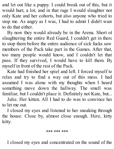and let out like a puppy. I could break out of this, but it would hurt, a lot, and in that rage I would slaughter not only Kate and her cohorts, but also anyone who tried to stop me. As angry as I was, I had to admit I didn't want to do that either.

By now they would already be in the Arena. Short of slaughtering the entire Red Guard, I couldn't get in there to stop them before the entire audience of sick fucks saw members of the Pack take part in the Games. After that, too many people would know, and I couldn't let that pass. If they survived, I would have to kill them. By myself in front of the rest of the Pack.

Kate had finished her spiel and left. I forced myself to relax and try to find a way out of this mess. I had assumed I was alone with my thoughts when I heard something move down the hallway. The smell was familiar, but I couldn't place it. Definitely not Kate, but...

Julie. Her kitten. All I had to do was to convince her to let me out.

I closed my eyes and listened to her sneaking through the house. Close by, almost close enough. Here, kitty kitty.

\*\*\* \*\*\* \*\*\*

I closed my eyes and concentrated on the sound of the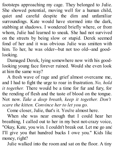footsteps approaching my cage. They belonged to Julie. She showed potential, moving well for a human child, quiet and careful despite the dim and unfamiliar surroundings. Kate would have stormed into the dark, stabbing at shadows. I wondered briefly where, or from whom, Julie had learned to sneak. She had not survived on the streets by being slow or stupid. Derek seemed fond of her and it was obvious Julie was smitten with him. To her, he was older--but not too old--and goodlooking.

Damaged Derek, lying somewhere now with his goodlooking young face forever ruined. Would she even look at him the same way?

A fresh wave of rage and grief almost overcame me, and I had to fight the urge to roar in frustration. *No, hold it together.* There would be a time for fur and fury, for the rending of flesh and the taste of blood on the tongue. Not now. *Take a deep breath, keep it together. Don't scare the kitten. Convince her to let you go.*

Come closer, Julie, that's it. You're almost here.

When she was near enough that I could hear her breathing, I called out to her in my best not-crazy voice, "Okay, Kate, you win. I couldn't break out. Let me go and I'll give you that hundred bucks I owe you." Kids like money, right?

Julie walked into the room and sat on the floor. A tiny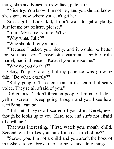thing, skin and bones, narrow face, pale hair.

"Nice try. You know I'm not her, and you should know she's gone now where you can't get her."

Smart girl. "Look, kid, I don't want to get anybody. Just let me out of here, please."

"Julie. My name is Julie. Why?"

"Why what, Julie?"

"Why should I let you out?"

"Because I asked you nicely, and it would be better for you and your"--psychotic guardian, terrible role model, bad influence--"Kate, if you release me."

"Why do you do that?"

Okay, I'd play along, but my patience was growing thin. "Do what, exactly?"

"Bully people. Threaten them in that calm but scary voice. They're all afraid of you."

Ridiculous. "I don't threaten people. I'm nice. I don't yell or scream." Keep going, though, and you'll see how terrifying I can be.

"Bullshit. They're all scared of you. Jim, Derek, even though he looks up to you. Kate, too, and she's not afraid of anything."

That was interesting. "First, watch your mouth, child. Second, what makes you think Kate is scared of me?"

"Screw you. I'm not a child and you aren't the boss of me. She said you broke into her house and stole things."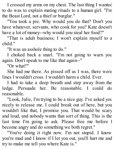I crossed my arms on my chest. The last thing I wanted to do was to explain mating rituals to a human girl. "I'm the Beast Lord, not a thief or burglar."

"You took a pie. Why would you do that? Don't you have whatever, servants, who cook for you? Kate doesn't have a lot of money--why would you steal her food?"

"That is adult business; I won't explain myself to a child."

"It was an asshole thing to do."

I choked back a snarl. "I'm not going to warn you again. Don't speak to me like that again--"

"Or what?"

She had me there. As pissed off as I was, there were lines I wouldn't cross. I wouldn't harm a child. Ever.

I had to take a deep breath and step away from the ledge. Persuade her. Be reasonable. I could do reasonable.

"Look, Julie, I'm trying to be a nice guy. I've asked you nicely to release me. I could break out of here, but you wouldn't like that, I promise you. That would be scary and loud, and nobody wants that sort of thing. This is the last time I'm going to ask. Please free me before I become angry and do something we both regret."

"You're doing it right now. I'm not stupid. I know you're mad and I know if I let you out, you'll hurt me and try to make me tell you where Kate is."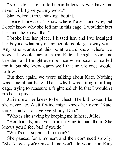"No. I don't hurt little human kittens. Never have and never will. I give you my word."

She looked at me, thinking about it.

I leaned forward. "I know where Kate is and why, but I don't know why she left me in this cage. I wouldn't hurt her, and she knows that."

I broke into her place, I kissed her, and I've indulged her beyond what any of my people could get away with. Any sane woman at this point would know where we stood. I would never harm Kate. I might roar and threaten, and I might even pounce when occasion called for it, but she knew damn well that no violence would follow.

But then again, we were talking about Kate. Nothing was sane about Kate. That's why I was sitting in a loup cage, trying to reassure a frightened child that I wouldn't rip her to pieces.

Julie drew her knees to her chest. The kid looked like she never ate. A stiff wind might knock her over. "Kate thinks she has to save everybody. Duh."

"Who is she saving by keeping me in here, Julie?"

"Her friends, and you from having to hurt them. She knows you'll feel bad if you do."

"What's that supposed to mean?"

She paused for a moment and then continued slowly, "She knows you're pissed and you'll do your Lion King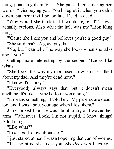thing, punishing them for..." She paused, considering her words. "Disobeying you. You'll regret it when you calm down, but then it will be too late. Dead is dead."

"Why would she think that I would regret it?" I was actually curious. Also what the hell was my "Lion King thing"?

"'Cause she likes you and believes you're a good guy." "She said that?" A good guy, huh.

"No, but I can tell. The way she looks when she talks about you."

Getting more interesting by the second. "Looks like what?"

"She looks the way my mom used to when she talked about my dad. And they're dead now."

"I know. I'm sorry."

"Everybody always says that, but it doesn't mean anything. It's like saying hello or something."

"It means something," I told her. "My parents are dead, too, and I was about your age when I lost them."

Julie looked like she was about to cry and waved her arms. "Whatever. Look, I'm not stupid. I know things! Adult things."

"Like what?"

"Like sex. I know about sex."

I just stared at her. I wasn't opening that can of worms. "The point is, she likes you. She *likes you* likes you.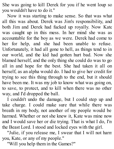She was going to kill Derek for you if he went loup so you wouldn't have to do it."

Now it was starting to make sense. So that was what all this was about. Derek was Jim's responsibility, and both Jim and Derek had fucked up royally. Now Kate was caught up in this mess. In her mind she was as accountable for the boy as we were. Derek had come to her for help, and she had been unable to refuse. Unfortunately, it had all gone to hell, as things tend to in our world, and the kid had gotten hurt bad. Now she blamed herself, and the only thing she could do was to go all in and hope for the best. She had taken it all on herself, as an alpha would do. I had to give her credit for trying to see this thing through to the end, but it should have been me. It was my job to know what was going on, to save, to protect, and to kill when there was no other way, and I'd dropped the ball.

I couldn't undo the damage, but I could step up and take charge. I could make sure that while there was breath in my body, not another of my people would be harmed. Whether or not she knew it, Kate was mine now and I would save her or die trying. That is what I do, I'm the Beast Lord. I stood and locked eyes with the girl.

"Julie, if you release me, I swear that I will not harm you, Kate, or any of my people."

"Will you help them in the Games?"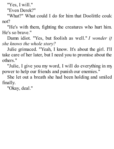"Yes, I will."

"Even Derek?"

"What?" What could I do for him that Doolittle could not?

"He's with them, fighting the creatures who hurt him. He's so brave."

Damn idiot. "Yes, but foolish as well." *I wonder if she knows the whole story?*

Julie grimaced. "Yeah, I know. It's about the girl. I'll take care of her later, but I need you to promise about the others."

"Julie, I give you my word, I will do everything in my power to help our friends and punish our enemies."

She let out a breath she had been holding and smiled finally.

"Okay, deal."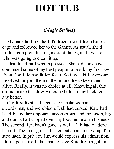## **HOT TUB**

#### **(***Magic Strikes***)**

My back hurt like hell. I'd freed myself from Kate's cage and followed her to the Games. As usual, she'd made a complete fucking mess of things, and I was one who was going to clean it up.

I had to admit I was impressed. She had somehow convinced some of my best people to break my first law. Even Doolittle had fallen for it. So it was kill everyone involved, or join them in the pit and try to keep them alive. Really, it was no choice at all. Knowing all this did not make the slowly closing holes in my back feel any better.

Our first fight had been easy: snake woman, swordsman, and werebison. Dali had cursed, Kate had head-butted her opponent unconscious, and the bison, big and dumb, had tripped over my foot and broken his neck. The second fight hadn't gone as well. Dali had outdone herself. The tiger girl had taken out an ancient vamp. I'm sure later, in private, Jim would express his admiration. I tore apart a troll, then had to save Kate from a golem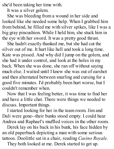she'd been taking her time with.

It was a silver golem.

She was bleeding from a wound in her side and looked like she needed some help. When I grabbed him from behind, he filled me with silver spikes, like I was a big gray pincushion. While I held him, she stuck him in the eve with her sword. It was a pretty good thrust.

She hadn't exactly thanked me, but she had cut the silver out of me. It hurt like hell and took a long time. Kate was pissed. And why did I jump on the golem, and she had it under control, and look at the holes in my back. When she was done, she ran off without saying much else. I waited until I knew she was out of earshot and then alternated between snarling and cursing for a good five minutes. I'd probably been hurt worse, but I couldn't remember when.

Now that I was feeling better, it was time to find her and have a little chat. There were things we needed to discuss. Important things.

I started looking for her in the team room. Jim and Dali were gone--their bunks stood empty. I could hear Andrea and Raphael's muffled voices in the other room.

Derek lay on his back in his bunk, his face hidden by an old paperback depicting a man with some serious tattoos. Doolittle sat in a chair, reading *Casino Royale.*

They both looked at me. Derek started to get up.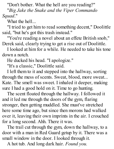"Don't bother. What the hell are you reading?"

"*Big Jake the Snake and the Viper Commando Squad*."

What the hell...

"I tried to get him to read something decent," Doolittle said, "but he's got this trash instead."

"You're reading a novel about an effete British snob," Derek said, clearly trying to get a rise out of Doolittle.

I looked at him for a while. He needed to take his tone down a notch.

He ducked his head. "I apologize."

"It's a classic," Doolittle said.

I left them to it and stepped into the hallway, sorting through the mess of scents. Sweat, blood, more sweat... Kate. The smell was sweet. I inhaled it deeper, making sure I had a good hold on it. Time to go hunting.

The scent floated through the hallway. I followed it and it led me through the doors of the gym, flaring stronger, then getting muddled. She must've stretched here some time ago, but since then morons had walked over it, leaving their own imprints in the air. I crouched for a long second. Ahh. There it was.

The trail cut through the gym, down the hallway, to a door with a man in Red Guard getup by it. There was a small window in the door. I looked through it.

A hot tub. And long dark hair. *Found you.*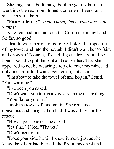She might still be fuming about me getting hurt, so I went into the rec room, found a couple of beers, and snuck in with them.

"Peace offering." *Umm, yummy beer, you know you want it.*

Kate reached out and took the Corona from my hand. So far, so good.

I had to warn her out of courtesy before I slipped out of my towel and into the hot tub. I didn't want her to faint and drown. Of course, if she did go under, I would be honor bound to pull her out and revive her. That she appeared to not be wearing a top did enter my mind. I'd only peek a little. I was a gentleman, not a saint.

"I'm about to take the towel off and hop in," I said. "Fair warning."

"I've seen you naked."

"Don't want you to run away screaming or anything." "You flatter yourself."

I took the towel off and got in. She remained conscious and upright. Too bad. I was all set for the rescue.

"How's your back?" she asked.

"It's fine," I lied. "Thanks."

"Don't mention it."

"Does your side hurt?" I knew it must, just as she knew the silver had burned like fire in my chest and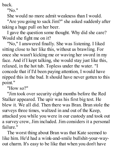back.

"No."

She would no more admit weakness than I would.

"Are you going to sack Jim?" she asked suddenly after taking a huge pull on her beer.

I gave the question some thought. Why did she care? Would she fight me on it?

"No," I answered finally. She was listening. I liked sitting close to her like this, without us brawling. For once she wasn't kicking me or waving her sword in my face. And if I kept talking, she would stay just like this, relaxed, in the hot tub. Topless under the water. "I concede that if I'd been paying attention, I would have nipped this in the bud. It should have never gotten to this point."

"How so?"

"Jim took over security eight months before the Red Stalker appeared. The upir was his first big test. He blew it. We all did. Then there was Bran. Bran stole the surveys three times, waltzed in and out of the Keep, attacked you while you were in our custody and took out a survey crew, Jim included. Jim considers it a personal failure."

The worst thing about Bran was that Kate seemed to like him. He'd had a wink-and-smile bullshit-your-wayout charm. It's easy to be like that when you don't have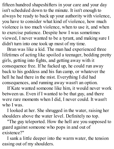fifteen hundred shapeshifters in your care and your day isn't scheduled down to the minute. It isn't enough to always be ready to back up your authority with violence, you have to consider what kind of violence, how much violence is too much violence, when to use it, and when to exercise patience. Despite how I was sometimes viewed, I never wanted to be a tyrant, and making sure I didn't turn into one took up most of my time.

Bran was like a kid. The man had experienced three lifetimes of acting like spoiled a teenager, bedding pretty girls, getting into fights, and getting away with it consequence free. If he fucked up, he could run away back to his goddess and his fun camp, or whatever the hell he had there in the mist. Everything I did had consequences, and running away wasn't an option.

If Kate wanted someone like him, it would never work between us. Even if I wanted to be that guy, and there were rare moments when I did, I never could. It wasn't who I was.

I looked at her. She shrugged in the water, raising her shoulders above the water level. Definitely no top.

"The guy teleported. How the hell are you supposed to guard against someone who pops in and out of existence?"

I sank a little deeper into the warm water, the tension easing out of my shoulders.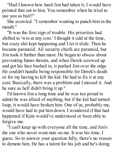"Had I known how hard Jim had taken it, I would have pointed that out to him. You remember when he tried to use you as bait?"

She scowled. "I remember wanting to punch him in the mouth."

"It was the first sign of trouble. His priorities had shifted to 'win at any cost.' I thought it odd at the time, but crazy shit kept happening and I let it slide. Then he became paranoid. All security chiefs are paranoid, but Jim took it further than most. He began to obsess about preventing future threats, and when Derek screwed up and got his face bashed in, it pushed Jim over the edge. He couldn't handle being responsible for Derek's death or for my having to kill the kid. He had to fix it at any cost. Basically, there was a problem and I missed it. And he sure as hell didn't bring it up."

I'd known Jim a long time and he was too proud to admit he was afraid of anything, but if the kid had turned loup, it would have broken him. One of us, probably me, would have had to put him down. I wondered if that had happened if Kate would've understood or been able to forgive me.

"I can't keep up with everyone all the time, and Jim's the one who never went nuts on me. It was his time, I guess. So to answer your question fully, there's no reason to demote him. He has a talent for his job and he's doing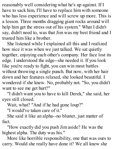reasonably well considering what he's up against. If I have to sack him, I'll have to replace him with someone who has less experience and will screw up more. This is a lesson. Three months dragging giant rocks around will help him get the stress out of his system." What I didn't say, didn't need to, was that Jim was my best friend and I trusted him like a brother.

She listened while I explained all this and I realized how nice it was when we just talked. We sat quietly together, enjoying each other's company. Her face lost its edge. I understood the edge--she needed it. If you look like you're ready to fight, you can win most battles without throwing a single punch. But now, with her hair down and her features relaxed, she looked beautiful. I wondered if she knew. No, probably not. "So, you didn't want to see me get hurt?"

"I didn't want you to have to kill Derek," she said, her eyes still closed.

Wait, what? "And if he had gone loup?"

"I would've taken care of it."

She said it like an alpha--no bluster, just matter of fact.

"How exactly did you push Jim aside? He was the highest alpha. The duty was his."

More like horrible responsibility, one that was ours to carry. Would she really have done it? We all knew she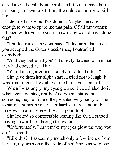cared a great deal about Derek, and it would have hurt her badly to have to kill him. It would've hurt me to kill him.

I decided she would've done it. Maybe she cared enough to want to spare me that pain. Of all the women I'd been with over the years, how many would have done that?

"I pulled rank," she continued. "I declared that since you accepted the Order's assistance, I outranked everybody."

"And they believed you?" It slowly dawned on me that they had obeyed her. Huh.

"Yep. I also glared menacingly for added effect."

She gave them her alpha stare. I tried not to laugh. It was kind of cute. I would've liked to have seen that.

When I was angry, my eyes glowed. I could also do it whenever I wanted, really. And when I stared at someone, they felt it and they wanted very badly for me to stare at someone else. Her hard stare was good, but mine was major league. It was a good tool.

She looked so comfortable leaning like that. I started moving toward her through the water.

"Unfortunately, I can't make my eyes glow the way you do," she said.

"Like this?" I asked, my mouth only a few inches from her ear, my arms on either side of her. She was so close,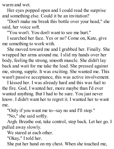warm and wet.

Her eyes popped open and I could read the surprise and something else. Could it be an invitation?

"Don't make me break this bottle over your head," she said, her voice soft.

"You won't. You don't want to see me hurt."

I searched her face. Yes or no? Come on, Kate, give me something to work with.

She moved toward me and I grabbed her. Finally. She wrapped her arms around me. I slid my hands over her body, feeling the strong, smooth muscle. She didn't lay back and wait for me take the lead. She pressed against me, strong, supple. It was exciting. She wanted me. This wasn't passive acceptance, this was active involvement.

I kissed her. I was already hard and this was fuel to the fire. God, I wanted her, more maybe than I'd ever wanted anything. But I had to be sure. You just never know. I didn't want her to regret it. I wanted her to want me.

"Only if you want me to--say no and I'll stop."

"No," she said softly.

Argh. Breathe out, take control, step back. Let her go. I pulled away slowly.

We stared at each other.

"Okay," I told her.

She put her hand on my chest. When she touched me,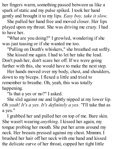her fingers warm, something passed between us like a spark of static and my pulse spiked. I took her hand gently and brought it to my lips. *Easy boy, take it slow.*

She pulled her hand free and moved closer. Her lips played upon my throat. She was driving me crazy. I had to have her.

"What are you doing?" I growled, wondering if she was just teasing or if she wanted me too.

"Pulling on Death's whiskers," she breathed out softly.

She kissed me again. I had to let her take the lead. Don't push her, don't scare her off. If we were going further with this, she would have to make the next step.

Her hands moved over my body, chest, and shoulders, down to my biceps. I flexed a little and tried to remember to breathe. Oh, yeah, this was totally happening.

"Is that a yes or no?" I asked.

She slid against me and lightly nipped at my lower lip. *Oh yeah! It's a yes. It's definitely a yes.* "I'll take that as a yes."

I grabbed her and pulled her on top of me. Bare skin. She wasn't wearing *anything*. I kissed her again, my tongue probing her mouth. She put her arms around my neck. Her breasts pressed against my chest. Mmmm. I brushed her hair off her neck with one hand and kissed the delicate curve of her throat, cupped her tight little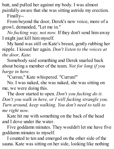butt, and pulled her against my body. I was almost painfully aware that she was sitting astride my erection.

Finally--

From beyond the door, Derek's new voice, more of a growl, demanded, "Let me in."

*No fucking way, not now.* If they don't send him away I might just kill him myself.

My hand was still on Kate's breast, gently rubbing her nipple. I kissed her again. *Don't listen to the voices at the door, Kate.*

Somebody said something and Derek snarled back about being a member of the team. *Not for long if you barge in here.*

"Curran," Kate whispered. "Curran!"

No. I was naked, she was naked, she was sitting on me, we were doing this.

The door started to open. *Don't you fucking do it. Don't you walk in here, or I will fucking strangle you. Turn around, keep walking. You don't need to talk to me right now.*

Kate hit me with something on the back of the head and I dove under the water.

Five goddamn minutes. They wouldn't let me have five goddamn minutes to myself.

I counted to ten and emerged on the other side of the sauna. Kate was sitting on her side, looking like nothing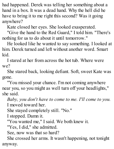had happened. Derek was telling her something about a hand in a box. It was a dead hand. Why the hell did he have to bring it to me right this second? Was it going anywhere?

Kate closed her eyes. She looked exasperated.

"Give the hand to the Red Guard," I told him. "There's nothing for us to do about it until tomorrow."

He looked like he wanted to say something. I looked at him. Derek turned and left without another word. Smart kid.

I stared at her from across the hot tub. Where were we?

She stared back, looking defiant. Soft, sweet Kate was gone.

"You missed your chance. I'm not coming anywhere near you, so you might as well turn off your headlights," she said.

*Baby, you don't have to come to me. I'll come to you.* I moved toward her.

She stayed completely still. "No."

I stopped. Damn it.

"You wanted me," I said. We both knew it.

"Yes, I did," she admitted.

See, now was that so hard?

She crossed her arms. It wasn't happening, not tonight anyway.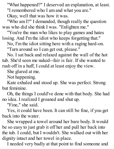"What happened?" I deserved an explanation, at least. "I remembered who I am and what you are."

Okay, well that was how it was.

"Who am I?" I demanded, though really the question was who did she think I was. "Enlighten me."

"You're the man who likes to play games and hates losing. And I'm the idiot who keeps forgetting that."

No, I'm the idiot sitting here with a raging hard-on.

"Turn around so I can get out, please."

No. I sat back and relaxed against the wall of the hot tub. She'd seen me naked--fair is fair. If she wanted to rush off in a huff, I could at least enjoy the view.

She glared at me.

Not happening.

Kate exhaled and stood up. She was perfect. Strong but feminine.

Oh, the things I could've done with that body. She had no idea. I realized I groaned and shut up.

"Fine," she said.

Yes, it could have been. It can still be fine, if you get back into the water.

She wrapped a towel around her bare body. It would be so easy to just grab it off her and pull her back into the tub. I could, but I wouldn't. She walked out with her dignity intact and her towel in place.

I needed very badly at that point to find someone and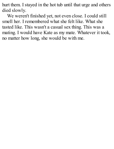hurt them. I stayed in the hot tub until that urge and others died slowly.

We weren't finished yet, not even close. I could still smell her. I remembered what she felt like. What she tasted like. This wasn't a casual sex thing. This was a mating. I would have Kate as my mate. Whatever it took, no matter how long, she would be with me.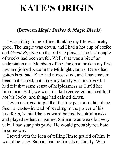## **KATE'S ORIGIN**

#### **(Between** *Magic Strikes* **&** *Magic Bleeds***)**

I was sitting in my office, thinking my life was pretty good. The magic was down, and I had a hot cup of coffee and *Great Big Sea* on the old CD player. The last couple of weeks had been awful. Well, that was a bit of an understatement. Members of the Pack had broken my first law and joined Kate in the Midnight Games. Derek had gotten hurt, bad. Kate had almost died, and I have never been that scared, not since my family was murdered. I had felt that same sense of helplessness as I held her limp form. Still, we won, the kid recovered his health, if not his looks, and things had calmed down.

I even managed to put that fucking pervert in his place. Such a waste--instead of reveling in the power of his true form, he hid like a coward behind beautiful masks and played seduction games. Saiman was weak but very vain. I had stung his pride. He would probably retaliate in some way.

I toyed with the idea of telling Jim to get rid of him. It would be easy. Saiman had no friends or family. Who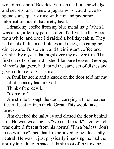would miss him? Besides, Saiman dealt in knowledge and secrets, and I knew a jaguar who would love to spend some quality time with him and pry some information out of that pretty head.

I drank my coffee from my blue metal mug. When I was a kid, after my parents died, I'd lived in the woods for a while, and once I'd raided a holiday cabin. They had a set of blue metal plates and mugs, the camping dinnerware. I'd stolen it and their instant coffee and drank it by myself that night over my meager fire. That first cup of coffee had tasted like pure heaven. George, Mahon's daughter, had found the same set of dishes and given it to me for Christmas.

A familiar scent and a knock on the door told me my head of security had arrived.

Think of the devil...

"Come in."

Jim strode through the door, carrying a thick leather file. At least an inch thick. Great. This would take forever.

Jim checked the hallway and closed the door behind him. He was wearing his "we need to talk" face, which was quite different from his normal "I'm a badass, don't mess with me" face that Jim believed to be pleasantly neutral. He wasn't just physically imposing; he had the ability to radiate menace. I think most of the time he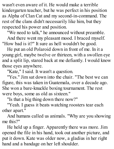wasn't even aware of it. He would make a terrible kindergarten teacher, but he was perfect in his position as Alpha of Clan Cat and my second-in-command. The rest of the clans didn't necessarily like him, but they respected his power and position.

"We need to talk," he announced without preamble.

And there went my pleasant mood. I braced myself. "How bad is it?" It sure as hell wouldn't be good.

He put an old Polaroid down in front of me. In it a young girl, maybe twelve or thirteen, with a swollen eye and a split lip, stared back at me defiantly. I would know those eyes anywhere.

"Kate," I said. It wasn't a question.

"Yes." Jim sat down into the chair. "The best we can figure, this was taken in Guatemala, over a decade ago. She won a bare-knuckle boxing tournament. The rest were boys, some as old as sixteen."

"Is that a big thing down there now?"

"Yeah. I guess it beats watching roosters tear each other apart."

And humans called us animals. "Why are you showing me this?"

He held up a finger. Apparently there was more. Jim opened the file in his hand, took out another picture, and put it down. Kate was older now, a gladius in her right hand and a bandage on her left shoulder.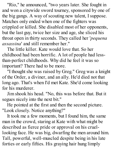"Rio," he announced, "two years later. She fought in and won a citywide sword tourney, sponsored by one of the big gangs. A way of scouting new talent, I suppose. Matches only ended when one of the fighters was crippled or killed. She disabled most of her opponents, but the last guy, twice her size and age, she sliced his throat open in thirty seconds. They called her '*pequena assassina*' and still remember her."

The little killer. Kate would love that. So her childhood had been horrific. A lot of people had lessthan-perfect childhoods. Why did he feel it was so important? There had to be more.

"I thought she was raised by Greg." Greg was a knight of the Order, a diviner, and an ally. He'd died not that long ago. That's when I'd met Kate. She'd come looking for his murderer.

Jim shook his head. "No, this was before that. But it segues nicely into the next bit."

He pointed at the first and then the second picture. "Look closely. Notice anything?"

It took me a few moments, but I found him, the same man in the crowd, staring at Kate with what might be described as fierce pride or approval on his cruellooking face. He was big, dwarfing the men around him. Tall, powerful, well-muscled despite being in his late forties or early fifties. His graying hair hung limply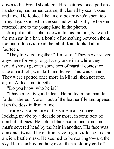down to his broad shoulders. His features, once perhaps handsome, had turned coarse, thickened by scar tissue and time. He looked like an old boxer who'd spent too many days exposed to the sun and wind. Still, he bore no resemblance to the young Kate in the photos.

Jim put another photo down. In this picture, Kate and the man sat in a bar, a bottle of something between them, too out of focus to read the label. Kate looked about fourteen.

"They traveled together," Jim said. "They never stayed anywhere for very long. Every once in a while they would show up, enter some sort of martial contest or take a hard job, win, kill, and leave. This was Cuba. They were spotted once more in Miami, then not seen again. At least not together."

"Do you know who he is?"

"I have a pretty good idea." He pulled a thin manila folder labeled "Voron" out of the leather file and opened it on the desk in front of me.

Inside was a picture of the same man, youngerlooking, maybe by a decade or more, in some sort of combat fatigues. He held a black axe in one hand and a man's severed head by the hair in another. His face was demonic, twisted by elation, reveling in violence, like an ancient battle mask. He seemed to be roaring toward the sky. He resembled nothing more than a bloody god of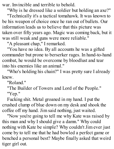war. Invincible and terrible to behold.

"Why is he dressed like a soldier but holding an axe?"

"Technically it's a tactical tomahawk. It was known to be his weapon of choice once he ran out of bullets. Our information leads us to believe that this picture was taken over fifty years ago. Magic was coming back, but it was still weak and guns were more reliable."

"A pleasant chap," I remarked.

"You have no idea. By all accounts he was a gifted commander but prone to berserker rages. In hand-to-hand combat, he would be overcome by bloodlust and tear into his enemies like an animal."

"Who's holding his chain?" I was pretty sure I already knew.

"Roland."

"The Builder of Towers and Lord of the People." "Yep."

Fucking shit. Metal groaned in my hand. I put the crushed clump of blue down on my desk and shook the coffee off my hand. Jim said nothing, just waited.

"Now you're going to tell me why Kate was raised by this man and why I should give a damn." Why could nothing with Kate be simple? Why couldn't Jim ever just come by to tell me that he had bowled a perfect game or benched a personal best? Maybe finally asked that weird tiger girl out.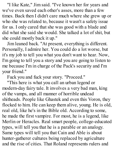"I like Kate," Jim said. "I've known her for years and we've even saved each other's asses, more than a few times. Back then I didn't care much where she grew up or who she was related to, because it wasn't a safety issue for us. I only cared that she was good with a blade and did what she said she would. She talked a lot of shit, but she could mostly back it up."

Jim leaned back. "At present, everything is different. Personally, I admire her. You could do a lot worse, but it's my job to tell you what you don't want to hear. Now, I'm going to tell you a story and you are going to listen to me because I'm in charge of the Pack's security and I'm your friend."

Fuck you and fuck your story. "Proceed."

"This here is what you call an urban legend or modern-day fairy tale. It involves a very bad man, king of the vamps, and all manner of horrible undead shitheads. People like Ghastek and even this Voron, they flocked to him. He can keep them alive, young. He is old, real old, like he's in the Bible old. According to some, he made the first vampire. For most, he is a legend, like Merlin or Heracles. Real smart people, college-educated types, will tell you that he is a parable or an analogy. Same types will tell you that Cain and Able is about hunter-gatherer cultures being replaced by agriculture and the rise of cities. That Roland represents rulers and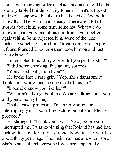their laws imposing order on chaos and anarchy. That he is every fabled builder or city founder. That's all good and well I suppose, but the truth is he exists. We both know that. The rest is not as easy. There are a lot of stories about him, some true, some not. What we do know is that every one of his children have rebelled against him. Some rejected him, some of the less fortunate sought to usurp him. Gilgamesh, for example, left and founded Uruk. Abraham took him on and lost. Everything--"

I interrupted him. "Jim, where did you get this shit?" "I did some checking. I've got my sources."

"You asked Dali, didn't you?"

He broke into a rare grin. "Yep, she's damn smart. Took her a while, but she dug most of this up."

"Does she know you like her?"

"We aren't talking about me. We are talking about you and your... honey bunny."

"In that case, professor, I'm terribly sorry for interrupting your fascinating lecture on bullshit. Please proceed."

He shrugged. "Thank you, I will. Now, before you interrupted me, I was explaining that Roland has had bad luck with his children. Very tragic. Now, fast-forward to about thirty years ago. The main man has a new consort. She's beautiful and everyone loves her. Especially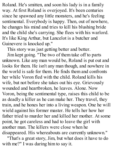Roland. He's smitten, and soon his lady is in a family way. At first Roland is overjoyed. It's been centuries since he spawned any little monsters, and he's feeling sentimental. Everybody is happy. Then, out of nowhere, he changes his mind and tries to kill his blushing bride and the child she's carrying. She flees with his warlord. It's like King Arthur, but Lancelot is a butcher and Guinevere is knocked up."

This story was just getting better and better.

Jim kept going. "The two of them take off to parts unknown. Like any man would be, Roland is put out and looks for them. He isn't any man though, and nowhere in the world is safe for them. He finds them and confronts her while Voron fled with the child. Roland kills his wife, but not before she takes out his eye. Grievously wounded and heartbroken, he leaves. Alone. Now Voron, being the sentimental type, raises this child to be as deadly a killer as he can make her. They travel, they train, and he hones her into a living weapon. One he will wield against his former master. He tells her how her father tried to murder her and killed her mother. At some point, he got careless and had to leave the girl with another man. The killers were close when he disappeared. His whereabouts are currently unknown."

"That's a great story, Jim, but what does it have to do with me?" I was daring him to say it.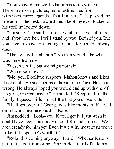"You know damn well what it has to do with you. There are more pictures, more testimonies from witnesses, more legends. It's all in there." He pushed the file across the desk, toward me. I kept my eyes locked on his until he looked down.

"I'm sorry," he said. "I didn't want to tell you all this and if you love her, I will stand by you. Both of you. But you have to know. He's going to come for her. He always does."

"Then we will fight him." No man would take what was mine from me.

"Yes, we will, but we might not win."

"Who else knows?"

"Me, you, Doolittle suspects, Mahon knows and likes it not at all. He sees her as a threat to the Pack. He's not wrong. He always hoped you would end up with one of his girls, George maybe." He smiled. "Keep it all in the family, I guess. Kills him a little that you chose Kate."

"He'll get over it." George was like my sister. Kate... I didn't want anyone else. Just Kate.

Jim nodded. "Look--you, Kate, I get it. I just wish it could have been somebody else. If Roland comes... We aren't ready for him yet. Even if we win, most of us won't make it. I hope she's worth it."

"Roland is coming anyway," I said. "Whether Kate is part of the equation or not. She made a third of a demon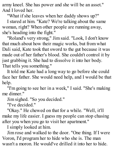army kneel. She has power and she will be an asset." And I loved her.

"What if she leaves when her daddy shows up?"

I stared at him. "Kate? We're talking about the same woman, right? When other people are running away, she's heading into the fight."

"Roland's very strong," Jim said. "Look, I don't know that much about how their magic works, but from what Dali said, Kate took that sword to the gut because it was made out of her father's blood. She couldn't control it by just grabbing it. She had to dissolve it into her body. That tells you something."

It told me Kate had a long way to go before she could face her father. She would need help, and I would be that help.

"I'm going to see her in a week," I said. "She's making me dinner."

Jim sighed. "So you decided."

"I've decided."

"Okay." He chewed on that for a while. "Well, it'll make my life easier. I guess my people can stop chasing after you when you go to visit her apartment."

I simply looked at him.

Jim rose and walked to the door. "One thing. If I were Voron, I'd program her to hide who she is. The man wasn't a moron. He would've drilled it into her to hide.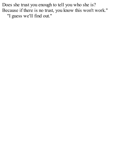Does she trust you enough to tell you who she is? Because if there is no trust, you know this won't work." "I guess we'll find out."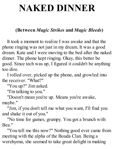# **NAKED DINNER**

### **(Between** *Magic Strikes* **and** *Magic Bleeds***)**

It took a moment to realize I was awake and that the phone ringing was not just in my dream. It was a good dream. Kate and I were moving to the bed after the naked dinner. The phone kept ringing. Okay, this better be good. Since tech was up, I figured it couldn't be anything too dire.

I rolled over, picked up the phone, and growled into the receiver. "What?"

"You up?" Jim asked.

"I'm talking to you."

"Doesn't mean you're up. Means you're awake, maybe."

"Jim, if you don't tell me what you want, I'll find you and shake it out of you."

"No time for games, grumpy. You got a brunch with Bea."

"You tell me this now?" Nothing good ever came from meeting with the alpha of the Bouda Clan. Being a werehyena, she seemed to take great delight in making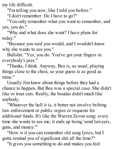my life difficult.

"I'm telling you now, like I told you before."

"I don't remember. Do I have to go?"

"You only remember what you want to remember, and yes, you do."

"Why and what does she want? I have plans for today."

"Because you said you would, and I wouldn't know why she wants to see you."

Bullshit. "Yes, you do. You've got your fingers in everybody's pies."

"Thanks, I think. Anyway, Bea is, as usual, playing things close to the chest, so your guess is as good as mine."

Usually Jim knew about things before they had a chance to happen. But Bea was a special case. She didn't like or trust cats. Really, the boudas didn't much like anybody.

"Whatever the hell it is, it better not involve bribing law enforcement or public orgies or requests for additional funds. It's like the Warren Zevon song: every time she wants to see me, it ends up being 'send lawyers, guns, and money.'"

"How is it you can remember old song lyrics, but I gotta remind you of significant shit all the time?"

"It gives you something to do and makes you feel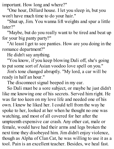important. How long and where?"

"One hour, Dillard house. I let you sleep in, but you won't have much time to do your hair."

"Shut up, Jim. You wanna lift weights and spar a little later?"

"Maybe, but do you really want to be tired and beat up for your big panty party?"

"At least I get to see panties. How are you doing in the romance department?"

He didn't say anything.

"You know, if you keep blowing Dali off, she's going to put some sort of Asian voodoo love spell on you."

Jim's tone changed abruptly. "My lord, a car will be ready in half an hour."

The disconnect signal beeped in my ear.

So Dali must be a sore subject, or maybe he just didn't like me knowing one of his secrets. Served him right. He was far too keen on my love life and needed one of his own. I knew he liked her. I could tell from the way he spoke to her, looked at her when he thought no one was watching, and most of all covered for her after the umpteenth expensive car crash. Any other cat, male or female, would have had their arms and legs broken the next time they disobeyed him. Jim didn't enjoy violence, though as Alpha of Clan Cat, he was willing to use it as a tool. Pain is an excellent teacher. Besides, we heal fast.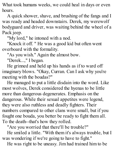What took humans weeks, we could heal in days or even hours.

A quick shower, shave, and brushing of the fangs and I was ready and headed downstairs. Derek, my werewolf bodyguard and driver, was waiting behind the wheel of a Pack jeep.

"My lord," he intoned with a nod.

"Knock it off. " He was a good kid but often went overboard with the formality.

"As you wish." Again the almost bow.

"Derek...," I began.

He grinned and held up his hands as if to ward off imaginary blows. "Okay, Curran. Can I ask why you're meeting with the boudas?"

He managed to put a little disdain into the word. Like most wolves, Derek considered the hyenas to be little more than dangerous degenerates. Emphasis on the dangerous. While their sexual appetites were legend, they were also ruthless and deadly fighters. Their numbers compared to other clans were small, but if you fought one bouda, you better be ready to fight them all. To the death--that's how they rolled.

"Are you worried that there'll be trouble?"

He smiled a little. "With them it's always trouble, but I was wondering if we're going to have to fight."

He was right to be uneasy. Jim had trained him to be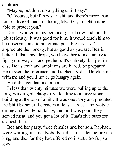cautious.

"Maybe, but don't do anything until I say."

"Of course, but if they start shit and there's more than four or five of them, including Ms. Bea, I might not be able to protect you."

Derek worked in my personal guard now and took his job seriously. It was good for him. It would teach him to be observant and to anticipate possible threats. "I appreciate the honesty, but as good as you are, Bea is better. If that shoe drops, you leave her to me and try to fight your way out and get help. It's unlikely, but just in case Bea's teeth and ambitions are bared, be prepared." He missed the reference and I sighed. Kids. "Derek, stick with me and you'll never go hungry again."

He didn't get that one either.

In less than twenty minutes we were pulling up to the long, winding blacktop drive leading to a large stone building at the top of a hill. It was one story and predated the Shift by several decades at least. It was family-style dining and, while not fancy, the food was good, they served meat, and you got a lot of it. That's five stars for shapeshifters.

Bea and her party, three females and her son, Raphael, were waiting outside. Nobody had sat or eaten before the king, and thus far they had offered no insults. So far, so good.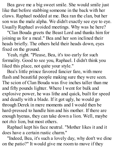Bea gave me a big sweet smile. She would smile just like that before stabbing someone in the back with her claws. Raphael nodded at me. Bea ran the clan, but her son was the male alpha. We didn't exactly see eye to eye. Usually Raphael avoided meetings. Why was he here?

"Clan Bouda greets the Beast Lord and thanks him for joining us for a meal." Bea and her son inclined their heads briefly. The others held their heads down, eyes fixed on the ground.

Yeah, right. "Please, Bea, it's too early for such formality. Good to see you, Raphael. I didn't think you liked this place, not quite your style."

Bea's little prince favored fancier fare, with more flash and beautiful people making sure they were seen. The scion of Clan Bouda was five inches taller than me and fifty pounds lighter. Where I went for bulk and explosive power, he was lithe and quick, built for speed and deadly with a blade. If it got ugly, he would go through Derek in mere moments and I would then be hard-pressed to handle him and his mother. If there are enough hyenas, they can take down a lion. Well, maybe not *this* lion, but most others.

Raphael kept his face neutral. "Mother likes it and it does have a certain rustic charm."

"Indeed, Bea, it's such a lovely day, why don't we dine on the patio?" It would give me room to move if they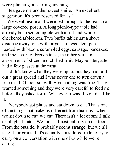were planning on starting anything.

Bea gave me another sweet smile. "An excellent suggestion. It's been reserved for us."

We went inside and were led through to the rear to a large covered porch. A long picnic-type table had already been set, complete with a red-and-whitecheckered tablecloth. Two buffet tables sat a short distance away, one with large stainless-steel pans loaded with bacon, scrambled eggs, sausage, pancakes, and my favorite, French toast, the other with an assortment of sliced and chilled fruit. Maybe later, after I had a few passes at the meat.

I didn't know what they were up to, but they had laid out a great spread and I was never one to turn down a free meal. Of course, with Bea, nothing was free. They wanted something and they were very careful to feed me before they asked for it. Whatever it was, I wouldn't like it.

Everybody got plates and sat down to eat. That's one of the things that make us different from humans--when we sit down to eat, we eat. There isn't a lot of small talk or playful banter. We focus almost entirely on the food. From the outside, it probably seems strange, but we all take it for granted. It's actually considered rude to try to carry on a conversation with one of us while we're eating.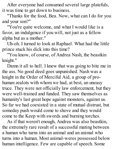After everyone had consumed several large platefuls, it was time to get down to business.

"Thanks for the food, Bea. Now, what can I do for you and your son?"

"You're quite welcome, and what I would like is a favor, an indulgence if you will, not just as a fellow alpha but as a mother."

Uh-oh. I turned to look at Raphael. What had the little prince stuck his dick into this time?

"You know, of course, of Andrea Nash, the beastkin knight."

Damn it all to hell. I knew that was going to bite me in the ass. No good deed goes unpunished. Nash was a knight in the Order of Merciful Aid, a group of prohuman zealots with whom we had, at best, an uneasy truce. They were not officially law enforcement, but they were well-trained and funded. They saw themselves as humanity's last great hope against monsters, against us. So far we had coexisted in a state of mutual distrust, but someday push would come to shove and they would come to the Keep with swords and burning torches.

As if that weren't enough, Andrea was also beastkin, the extremely rare result of a successful mating between a human who turns into an animal and an animal who turns into a human. Most animal-weres possessed below human intelligence. Few are capable of speech. Some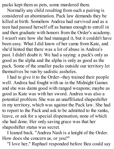packs kept them as pets, some murdered them.

Normally any child resulting from such a pairing is considered an abomination. Pack law demands they be killed at birth. Somehow Andrea had survived and as a teen had passed herself off as human enough to enroll in and then graduate with honors from the Order's academy. I wasn't sure how she had managed it, but it couldn't have been easy. What I did know of her came from Kate, and she'd hinted that there was a lot of abuse in Andrea's past. I didn't doubt it. We had a saying: a pack's only as good as the alpha and the alpha is only as good as the pack. Some of the smaller packs outside our territory let themselves be run by sadistic assholes.

I had to give it to the Order--they trained their people well. Andrea had fought with us in the Midnight Games and she was damn good with ranged weapons; maybe as good as Kate was with her sword. Andrea was also a potential problem. She was an unaffiliated shapeshifter in my territory, which was against the Pack law. She had to report to the Pack and ask to be admitted to the ranks, leave, or ask for a special dispensation, none of which she had done. Her only saving grace was that her shapeshifter status was secret.

I leaned back. "Andrea Nash is a knight of the Order. How does she concern us, or you?"

"I love her," Raphael responded before Bea could say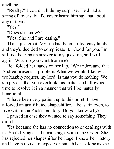anything.

"Really?" I couldn't hide my surprise. He'd had a string of lovers, but I'd never heard him say that about any of them.

"Yes."

"Does she know?"

"Yes. She and I are dating."

That's just great. My life had been far too easy lately, and they'd decided to complicate it. "Good for you. I'm still not hearing an answer to my question, so I will ask again. What do you want from me?"

Bea folded her hands on her lap. "We understand that Andrea presents a problem. What we would like, what we humbly request, my lord, is that you do nothing. We simply ask that you overlook this matter and allow us time to resolve it in a manner that will be mutually beneficial."

"I have been very patient up to this point. I have allowed an unaffiliated shapeshifter, a beastkin even, to live within the Pack's territory. Do you know why?"

I paused in case they wanted to say something. They didn't.

"It's because she has no connection to or dealings with us. She's living as a human knight within the Order. She has rejected her shapeshifter heritage. I know her history and have no wish to expose or banish her as long as she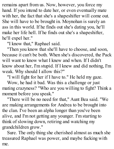remains apart from us. Now, however, you force my hand. If you intend to date her, or even eventually mate with her, the fact that she's a shapeshifter will come out. She will have to be brought in. Moynohan is surely an ass in this world. If he finds out she's dating you, he'll make her life hell. If he finds out she's a shapeshifter, he'll expel her."

"I know that," Raphael said.

"Then you know that she'll have to choose, and soon, because it can't be both. When she's discovered, the Pack will want to know what I knew and when. If I didn't know about her, I'm stupid. If I knew and did nothing, I'm weak. Why should I allow this?"

"I will fight for her if I have to." He held my gaze.

Wow, he had it bad. Was this a challenge or just mating crazyness? "Who are you willing to fight? Think a moment before you speak."

"There will be no need for that," Aunt Bea said. "We are making arrangements for Andrea to be brought into the clan. I've been an alpha longer than you've been alive, and I'm not getting any younger. I'm starting to think of slowing down, retiring and watching my grandchildren grow."

Sure. The only thing she cherished almost as much she treasured Raphael was power, and maybe fucking with me.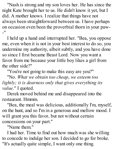"Nash is strong and my son loves her. He has since the night Kate brought her to us. He didn't know it yet, but I did. A mother knows. I realize that things have not always been straightforward between us. I have perhaps on occasion even been the proverbial thorn in your paw- -"

I held up a hand and interrupted her. "Bea, you oppose me, even when it is not in your best interest to do so, you undermine my authority, albeit subtly, and you have done so since I first became Beast Lord. Now you want a favor from me because your little boy likes a girl from the other side?"

"You're not going to make this easy are you?"

"No. *What we obtain too cheap*, *we esteem too lightly; it is dearness only that gives everything its value.*" I quoted.

Derek moved behind me and disappeared into the restaurant. Hmmm.

"Bea, the meal was delicious, additionally I'm, myself, on the hunt, and so I'm in a generous and mellow mood. I will grant you this favor, but not without certain concessions on your part."

"Name them"

I had her. Time to find out how much was she willing to concede to indulge her son. I decided to go for broke. "It's actually quite simple, I want only one thing.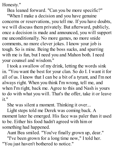Honesty."

Bea leaned forward. "Can you be more specific?"

"When I make a decision and you have genuine concerns or reservations, you tell me. If you have doubts, we will discuss them privately. But afterward, publicly, once a decision is made and announced, you will support me unconditionally. No more games, no more snide comments, no more clever jokes. I know your job is tough. So is mine. Being the boss sucks, and sparring with me is fun, but I need you and Mahon both. I need your counsel and wisdom."

I took a swallow of my drink, letting the words sink in. "You want the best for your clan. So do I. I want it for all of us. I know that I can be a bit of a tyrant, and I'm not always right. When you think I'm wrong, tell me, and when I'm right, back me. Agree to this and Nash is yours to do with what you will. That's the offer, take it or leave it."

She was silent a moment. Thinking it over...

Light steps told me Derek was coming back. A moment later he emerged. His face was paler than it used to be. Either his food hadn't agreed with him or something had happened.

Aunt Bea smiled. "You've finally grown up, dear."

"I've been grown for a long time now," I told her. "You just haven't bothered to notice."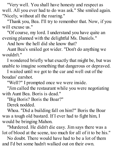"Very well. You shall have honesty and respect as well. All you ever had to do was ask." She smiled again. "Nicely, without all the roaring."

"Thank you, Bea. I'll try to remember that. Now, if you will excuse us."

"Of course, my lord. I understand you have quite an evening planned with the delightful Ms. Daniels."

And how the hell did she know that?

Aunt Bea's smiled got wider. "Don't do anything we wouldn't."

I wondered briefly what exactly that might be, but was unable to imagine something that dangerous or depraved.

I waited until we got to the car and well out of the boudas' earshot.

"Well?" I prompted once we were inside.

"Jim called the restaurant while you were negotiating with Aunt Bea. Boris is dead."

"Big Boris? Boris the Boar?"

Derek nodded.

Whoa. "Did a building fall on him?" Boris the Boar was a tough old bastard. If I ever had to fight him, I would be bringing Mahon.

"Murdered. He didn't die easy. Jim says there was a lot of blood at the scene, too much for all of it to be his."

No doubt. There would have had to be a lot of them and I'd bet some hadn't walked out on their own.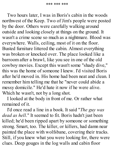Two hours later, I was in Boris's cabin in the woods northwest of the Keep. Two of Jim's people were posted by the door. Others were carefully walking around outside and looking closely at things on the ground. It wasn't a crime scene so much as a nightmare. Blood was everywhere. Walls, ceiling, most of it on the floor. Busted furniture littered the cabin. Almost everything was broken or knocked over. The place looked like a barroom after a brawl, like you see in one of the old cowboy movies. Except this wasn't some "shady dive," this was the home of someone I knew. I'd visited Boris after he'd moved in. His home had been neat and clean. I remember him telling me that he "never could abide a messy domicile." He'd hate it now if he were alive. Which he wasn't, not by a long shot.

I looked at the body in front of me. Or rather what remained of it.

I'd once read a line in a book. It said "*The guy was dead as hell*." It seemed to fit. Boris hadn't just been killed; he'd been ripped apart by someone or something strong. Smart, too. The killer, or killers, had damn near painted the place with wolfsbane, covering their tracks. Still, if you knew what you were looking for, there were clues. Deep gouges in the log walls and cabin floor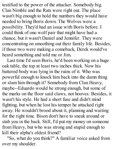testified to the power of the attacker. Somebody big. Clan Nimble and the Rats were right out. The place wasn't big enough to hold the numbers they would have needed to bring Boris down. The Wolves were a possibility. They'd had an issue with Boris before. I could think of one wolf pair that might have had a chance, but it wasn't Daniel and Jennifer. They were concentrating on smoothing out their family life. Besides, if those two were making a comeback, Derek would've heard something and told me or Jim.

Last time I'd seen Boris, he'd been working on a huge oak table, the top at least two inches thick. Now his battered body was lying in the ruins of it. Who was powerful enough to knock him back into the damn thing or slam him through it? Somebody from Clan Heavy, maybe--Eduardo would be strong enough, but some of the marks on the floor said claws, not hooves. Besides, it wasn't his style. He had a short fuse and didn't mind fighting, but when he lost his temper he attacked right away. He wouldn't brood about it, planning and waiting for the right time. Bison don't have to sneak around or stab you in the back. Still, I'd put my money on someone from Heavy, but who was strong and stupid enough to kill their alpha's oldest friend?

"So, what do you think?" A familiar voice asked from over my shoulder.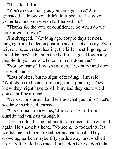"He's dead, Jim."

"You're not as funny as you think you are." Jim grimaced. "I know you didn't do it because I saw you yesterday, and you weren't all fucked up."

"Thanks for the vote of confidence. So when do we think it went down?"

Jim shrugged. "Not long ago, couple days at most, judging from the decomposition and insect activity. Even with our accelerated healing, the killer is still going to look like they've been in one hell of a fight. How many people do you know who could have done this?"

"Not too many." It wasn't a loup. They stank and didn't use wolfsbane.

"Lots of bites, but no signs of feeding," Jim said. "Wolfsbane indicates forethought and planning. They knew they might have to kill him, and they knew we'd come sniffing around."

"Derek, look around and tell us what you think." Let's see how much he'd learned.

"Good idea--impress us," Jim said. "Start from outside and walk us through it.

Derek nodded, stepped out for a moment, then entered again. He shook his head. "No scent, no footprints. It's wolfsbane and then tire rubber and car smell. They drove up, parked maybe fifty yards away, and walked up. Carefully, left no trace. Loups don't drive, don't plan.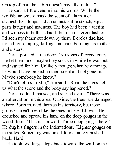On top of that, the cabin doesn't have their stink."

He sank a little venom into his words. While the wolfsbane would mask the scent of a human or shapeshifter, loups had an unmistakable stench, equal parts hunger and madness. The boy had been a victim and witness to both, as had I, but in a different fashion. I'd seen my father cut down by them. Derek's dad had turned loup, raping, killing, and cannibalizing his mother and sisters.

Derek pointed at the door. "No signs of forced entry. He let them in or maybe they snuck in while he was out and waited for him. Unlikely though; when he came up, he would have picked up their scent and not gone in. Maybe somebody he knew."

"Don't tell us maybe," Jim said. "Read the signs, tell us what the scene and the body say happened."

Derek nodded, paused, and started again. "There was an altercation in this area. Outside, the trees are damaged where Boris marked them as his territory, but those grooves aren't fresh like the ones in here. Claws." He crouched and spread his hand on the deep gouges in the wood floor. "This isn't a wolf. Three deep gouges here." He dug his fingers in the indentations. "Lighter gouges on the sides. Something was on all fours and got pushed back. Hard."

He took two large steps back toward the wall on the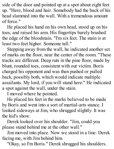side of the door and pointed up at a spot about eight feet up. "Here, blood and hair. Somebody had the back of his head slammed into the wall. With a tremendous amount of force."

He placed his hand on his own head, stood up on his toes, and raised his arm. His fingertips barely brushed the edge of the bloodstain. "I'm six feet. The stain is at least two feet higher. Someone tall."

Stepping away from the wall, he indicated another set of marks on the floor, near the center of the room. "These tracks are different. Deep ruts in the pine floor, made by blunt, rounded toes, consistent with our victim. Boris charged his opponent and was then pushed or pulled back, possibly both, which would indicate multiple assailants. My lord, if you will stand here." He indicated a spot against the wall, under the stain.

I moved where he pointed.

He placed his feet in the marks believed to be made by Boris and went into a sort of martial-arts stance. I looked sideways at Jim, who shrugged slightly. It was the kid's show.

Derek looked over his shoulder. "Jim, could you please stand behind me at the other wall."

Jim moved into place. Now we stood in a line: Derek facing me, with Jim behind him.

"Okay, so I'm Boris." Derek shrugged his shoulders.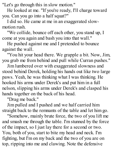"Let's go through this in slow motion."

He looked at me. "If you're ready, I'll charge toward you. Can you go into a half squat?"

I did so. He came at me in an exaggerated slowmotion rush.

"We collide, bounce off each other, you stand up, I come at you again and bash you into that wall."

He pushed against me and I pretended to bounce against the wall.

"You hit your head there. We grapple a bit. Now, Jim, you grab me from behind and pull while Curran pushes."

Jim lumbered over with exaggerated slowness and stood behind Derek, holding his hands out like two large paws. Yeah, he was thinking what I was thinking. He hooked his arms under Derek's and put him in a full nelson, slipping his arms under Derek's and clasped his hands together on the back of his head.

"Drag me back."

Jim pulled and I pushed and we half carried him straight back to the remnants of the table and let him go.

"Somehow, mainly brute force, the two of you lift me and smash me through the table. I'm stunned by the force of the impact, so I just lay there for a second or two. You, both of you, start to bite my head and neck. I'm fighting, but I'm on my back and the two of you are on top, ripping into me and clawing. Note the defensive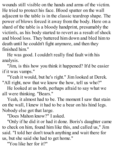wounds still visible on the hands and arms of the victim. He tried to protect his face. Blood spatter on the wall adjacent to the table is in the classic teardrop shape. The power of blows forced it away from the body. Here on a shard of the table is a bloody handprint, presumably the victim's, as his body started to revert as a result of shock and blood loss. They battered him down and bled him to death until he couldn't fight anymore, and then they finished him."

He was good. I couldn't really find fault with his analysis.

"Jim, is this how you think it happened? It'd be easier if it was vamps."

"Yeah it would, but he's right." Jim looked at Derek. "All right, now that we know the how, tell us who?"

He looked at us both, perhaps afraid to say what we all were thinking. "Bears."

Yeah, it almost had to be. The moment I saw that stain on the wall, I knew it had to be a bear on his hind legs. Nobody else got that large.

"Does Mahon know?" I asked.

"Only if he did it or had it done. Boris's daughter came to check on him, found him like this, and called us," Jim said. "I told her don't touch anything and wait there for us, but she said she had to get home."

"You like her for it?"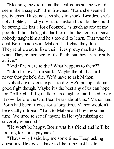"Meaning she did it and then called us so she wouldn't seem like a suspect?" Jim frowned. "Nah, she seemed pretty upset. Husband says she's in shock. Besides, she's not a fighter, strictly civilian. Husband too, but he could be strong. He has a lot of control, as much as any of my people. I think he's got a half form, but he denies it, says nobody taught him and he's too old to learn. That was the deal Boris made with Mahon--he fights, they don't. They're allowed to live their lives pretty much as they want. They're members of the Pack, but they aren't really active."

"And if he were to die? What happens to them?"

"I don't know," Jim said. "Maybe the old bastard never thought he'd die. We'd have to ask Mahon."

Nobody ever does expect to die. He'd put up a damn good fight though. Maybe it's the best any of us can hope for. "All right. I'll go talk to his daughter and I need to do it now, before the Old Bear hears about this." Mahon and Boris had been friends for a long time. Mahon wouldn't be exactly rational. "Talk to Mahon and buy me some time. We need to see if anyone in Heavy's missing or severely wounded."

"He won't be happy. Boris was his friend and he'll be looking for some payback."

"That's why I said buy me some time. Keep asking questions. He doesn't have to like it, he just has to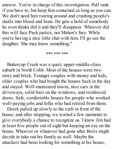answer. You're in charge of this investigation. Pull rank if you have to, but keep him contained as long as you can. We don't need him roaring around and crushing people's skulls into blood and bone. He gets a hold of somebody he even thinks did it and they'll disappear. Whoever did this will face Pack justice, not Mahon's fury. While you're having a nice little chat with him, I'll go see the daughter. She may know something."

\*\*\* \*\*\* \*\*\*

Buttercup Creek was a quiet, upper-middle-class suburb in North Cobb. Most of the houses were two story and brick. Younger couples with money and kids, older couples who had bought the houses back in the day and stayed. Well-manicured lawns, nice cars in the driveways, solid bars on the windows, and reinforced doors. Safe, comfortable houses for people who worked well-paying jobs and folks who had retired from them.

Derek pulled up slowly to the curb in front of the house, and after stopping, we waited a few moments to give everybody a chance to recognize us. I knew Jim had at least five people out of sight but keeping an eye on the house. Whoever or whatever had gone after Boris might decide to take out his family as well. Maybe the attackers had been looking for something at his house,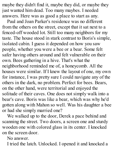maybe they didn't find it, maybe they did, or maybe they just wanted him dead. Too many maybes. I needed answers. Here was as good a place to start as any.

Paul and Joan Parker's residence was no different from the others on the street, except that it sat next to a fenced-off wooded lot. Still too many neighbors for my taste. The house stood in stark contrast to Boris's simple, isolated cabin. I guess it depended on how you saw people, whether you were a bee or a bear. Some felt safer having others around and felt vulnerable on their own. Bees gathering in a hive. That's what the neighborhood reminded me of, a honeycomb. All the houses were similar. If I knew the layout of one, my own for instance, I was pretty sure I could navigate any of the others in the dark, no problem. Perfect for bees. Bears, on the other hand, were territorial and enjoyed the solitude of their caves. One does not simply walk into a bear's cave. Boris was like a bear, which was why he'd gotten along with Mahon so well. Was his daughter a bee or had she simply married one?

We walked up to the door, Derek a pace behind and scanning the street. Two doors, a screen one and sturdy wooden one with colored glass in its center. I knocked on the screen door.

No answer.

I tried the latch. Unlocked. I opened it and knocked a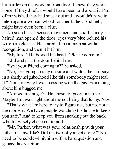bit harder on the wooden front door. I knew they were home. If they'd left, I would have been told about it. Part of me wished they had snuck out and I wouldn't have to interrogate a woman who'd lost her father. And hell, it might have even been a clue.

No such luck. I sensed movement and a tall, sandyhaired man opened the door, eyes very blue behind his wire-rim glasses. He stared at me a moment without recognition, and then it hit him.

"My lord." He bowed his head. "Please come in." I did and shut the door behind me.

"Isn't your friend coming in?" he asked.

"No, he's going to stay outside and watch the car, says in a shady neighborhood like this somebody might steal it." Not sure why I was messing with the guy. Something about him bugged me.

"Are we in danger?" He chose to ignore my joke. Maybe Jim was right about me not being that funny. Naw.

"That's what I'm here to try to figure out, but no, not at the moment. We have people watching the house to keep you safe." And to keep you from sneaking out the back, which I wisely chose not to add.

"Mr. Parker, what was your relationship with your father-in- law like? Did the two of you get along?" No need to be subtle--I hit him with a hard question and gauged his reaction.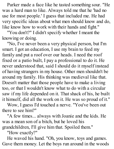Parker made a face like he tasted something sour. "He was a hard man to like. Always told me that he 'had no use for most people.' I guess that included me. He had very specific ideas about what men should know and do, like know how to work with their hands and fight."

"You don't?" I didn't specify whether I meant the knowing or doing.

"No, I've never been a very physical person, but I'm smart. I got an education, I use my brain to feed my family and put a roof over our heads. I need the roof fixed or a patio built, I pay a professional to do it. He never understood that, said I should do it myself instead of having strangers in my house. Other men shouldn't be around my family. His thinking was medieval like that. Doesn't matter that those people have to make a living too, or that I wouldn't know what to do with a circular saw if my life depended on it. That shack of his, he built it himself, did all the work on it. He was so proud of it."

Wow, I guess I'd touched a nerve. "You've been out there to see him?"

"A few times... always with Joanie and the kids. He was a mean son of a bitch, but he loved his grandchildren, I'll give him that. Spoiled them."

"How exactly?"

He waved his hand. "Oh, you know, toys and games. Gave them money. Let the boys run around in the woods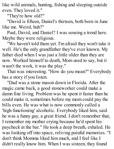like wild animals, hunting, fishing and sleeping outside even. They loved it."

"They're how old?"

"David is fifteen, Daniel's thirteen, both born in June like me. Weird, huh?"

Paul, David, and Daniel? I was sensing a trend here. Maybe they were religious.

"We haven't told them yet. I'm afraid they won't take it well. He's the only grandfather they've ever known. My father died when I was just a little older than they are now. Worked himself to death, Mom used to say, but it wasn't the work, it was the play."

That was interesting. "How do you mean?" Everybody has a story if you listen.

"Dad was a stone mason down in Florida. After the magic came back, a good stoneworker could make a damn fine living. Problem was he spent it faster than he could make it, sometimes before my mom could pay the bills even. He was what is now commonly called a 'high-functioning' alcoholic. Everybody liked him, said he was a funny guy, a great friend. I don't remember that, I remember my mother crying because he'd spent his paycheck at the bar." He took a deep breath, exhaled. He was looking off into space, reliving painful memories. "I don't think Momma liked him much, and I feel like I didn't really know him. When I was sixteen, they found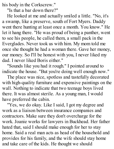his body in the Corkscrew."

"Is that a bar down there?"

He looked at me and actually smiled a little. "No, it's a swamp, like a preserve, south of Fort Myers. Daddy went there hunting at least once a month. You know." He let it hang there. "He was proud of being a panther, went to see his people, he called them, a small pack in the Everglades. Never took us with him. My mom told me once she thought he had a woman there. Gave her money, our money. So I'll be honest with you, I never liked my dad. I never liked Boris either."

"Sounds like you had it rough." I pointed around to indicate the house. "But you're doing well enough now."

The place was nice, spotless and tastefully decorated with high-quality furniture and expensive paintings on the wall. Nothing to indicate that two teenage boys lived there. It was almost sterile. As a young man, I would have preferred the cabin.

"Yes, we do okay. Like I said, I got my degree and work as a liaison between insurance companies and contractors. Make sure they don't overcharge for the work. Joanie works for lawyers in Buckhead. Her father hated that, said I should make enough for her to stay home. Said a real man acts as head of the household and provides for his family, and the wife should stay home and take care of the kids. He thought we should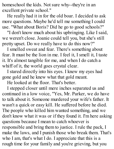homeschool the kids. Not sure why--they're in an excellent private school."

He really had it in for the old boar. I decided to ask more questions. Maybe he'd tell me something I could use. "What about Boris? Did he go to good schools?"

"I don't know much about his upbringing. Like I said, we weren't close. Joanie could tell you, but she's still pretty upset. Do we really have to do this now?"

I smelled sweat and fear. There's something about fear. It must be the lion in me. I feel it, I smell it, I taste it. It's almost tangible for me, and when I do catch a whiff of it, the world goes crystal clear.

I stared directly into his eyes. I knew my eyes had gone gold and he knew what that gold meant.

He looked at the floor. That's better.

I stepped closer until mere inches separated us and continued in a low voice, "Yes, Mr. Parker, we do have to talk about it. Someone murdered your wife's father. It wasn't a quick or easy kill. He suffered before he died. The people who killed him wanted something, and we don't know what it was or if they found it. I'm here asking questions because I mean to catch whoever is responsible and bring them to justice. I rule the pack, I make the laws, and I punish those who break them. That's who I am, that's what I do. I appreciate that this is a rough time for your family and you're grieving, but you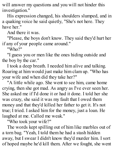will answer my questions and you will not hinder this investigation."

His expression changed, his shoulders slumped, and in a quaking voice he said quietly, "She's not here. They have her."

And there it was.

"Please, the boys don't know. They said they'd hurt her if any of your people came around."

"Who?"

"I guess you or men like the ones hiding outside and the boy by the car."

I took a deep breath. I needed him alive and talking. Roaring at him would just make him clam up. "Who has your wife and when did they take her?"

"A little while ago. She went to see him, came home crying, then she got mad. As angry as I've ever seen her. She asked me if I'd done it or had it done. I told her she was crazy, she said it was my fault that I owed them money and that they'd killed her father to get it. It's not true; I tried. I asked him for the money, just a loan. He laughed at me. Called me weak."

"Who took your wife?"

The words kept spilling out of him like marbles out of a torn bag. "Yeah, I told them he had a stash hidden away, but I swear I didn't know they'd murder him. I sort of hoped maybe he'd kill them. After we fought, she went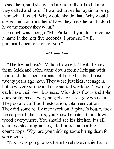to see them, said she wasn't afraid of their kind. Later they called and said if I wanted to see her again to bring them what I owed. Why would she do that? Why would she go and confront them? Now they have her and I don't have the money they want."

Enough was enough. "Mr. Parker, if you don't give me a name in the next five seconds, I promise I will personally beat one out of you."

## \*\*\* \*\*\* \*\*\*

"The Irvine boys?" Mahon frowned. "Yeah, I know them. Mick and John, came down from Michigan with their dad after their parents split up. Must be almost twenty years ago now. They were just kids, teenagers, but they were strong and they started working. Now they each have their own business. Mick does floors and John does pretty much everything else or has a guy who can. They do a lot of flood restoration, total renovations. They did some really nice work on Raphael's house, took the carpet off the stairs, you know he hates it, put down wood everywhere. You should see his kitchen. It's all stainless steel appliances, tile floors, and marble countertops. Why, are you thinking about hiring them for some work?

"No. I was going to ask them to release Joanie Parker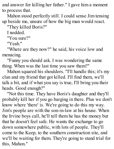and answer for killing her father." I gave him a moment to process that.

Mahon stood perfectly still. I could sense Jim tensing up beside me, unsure of how the big man would react.

"They killed Boris?"

I nodded.

"You sure?"

"Yeah."

"Where are they now?" he said, his voice low and menacing.

"Funny you should ask. I was wondering the same thing. When was the last time you saw them?"

Mahon squared his shoulders. "I'll handle this; it's my clan and my friend that got killed. I'll find them, we'll talk a bit, and if what you say is true, I'll bring you their heads. Good enough?"

"Not this time. They have Boris's daughter and they'll probably kill her if you go barging in there. Plus we don't know where 'there' is. We're going to do this my way. Jim's people are with the son-in-law at his house. When the Irvine boys call, he'll tell them he has the money but that he doesn't feel safe. He wants the exchange to go down somewhere public, with lots of people. They'll come to the Keep, to the southern construction site, and we'll be waiting for them. They're going to stand trial for this, Mahon."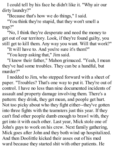I could tell by his face he didn't like it. "Why air our dirty laundry?"

"Because that's how we do things," I said.

"You think they're stupid, that they won't smell a trap?"

"No, I think they're desperate and need the money to get out of our territory. Look, if they're found guilty, you still get to kill them. Any way you want. Will that work?"

"It will have to. And you're sure it's them?"

"You keep asking that," Jim said.

"I know their father," Mahon grimaced. "Yeah, I mean they've had some troubles. They can be a handful, but murder?"

I nodded to Jim, who stepped forward with a sheet of paper. "Troubles? That's one way to put it. They're out of control. I have no less than nine documented incidents of assault and property damage involving them. There's a pattern: they drink, they get mean, and people get hurt. Not too picky about who they fight either--they've gotten into three fights with the teamsters just this year. If they can't find other people dumb enough to brawl with, they get into it with each other. Last year, Mick stole one of John's guys to work on his crew. Next family gathering, Mick goes after John and they both wind up hospitalized. And then Doolittle kicked their asses out of his med ward because they started shit with other patients. He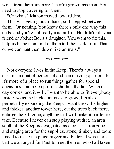won't treat them anymore. They're grown-ass men. You need to stop covering for them."

''Or what?" Mahon moved toward Jim.

This was getting out of hand, so I stepped between them. "Or nothing. You know there's only one way this ends, and you're not really mad at Jim. He didn't kill your friend or abduct Boris's daughter. You want to fix this, help us bring them in. Let them tell their side of it. That or we can hunt them down like animals."

## \*\*\* \*\*\* \*\*\*

Not everyone lives in the Keep. There's always a certain amount of personnel and some living quarters, but it's more of a place to run things, gather for special occasions, and hole up if the shit hits the fan. When that day comes, and it will, I want to be able to fit everybody inside, so as the Pack continues to grow, I'm also perpetually expanding the Keep. I want the walls higher and thicker, another tower here, cut the trees back there, enlarge the kill zone, anything that will make it harder to take. Because I never can stop playing with it, an area south of the Keep is designated as a construction zone and staging area for the supplies, stone, timber, and tools I need to make the place bigger and better. It was there that we arranged for Paul to meet the men who had taken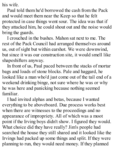his wife.

Paul told them he'd borrowed the cash from the Pack and would meet them near the Keep so that he felt protected in case things went sour. The idea was that if they attacked him, he could shout out and the noise would bring the guards.

I crouched in the bushes. Mahon sat next to me. The rest of the Pack Council had arranged themselves around us, out of sight but within earshot. We were downwind, but since it was our construction site, it would smell like shapeshifters anyway.

In front of us, Paul paced between the stacks of mortar bags and loads of stone blocks. Pale and haggard, he looked like a man who'd just come out of the tail end of a weekend drinking binge, not sure where he was or why he was here and panicking because nothing seemed familiar.

I had invited alphas and betas, because I wanted everything to be aboveboard. Due process works best when there are witnesses to the proceedings and no appearance of impropriety. All of which was a moot point if the Irving boys didn't show. I figured they would. What choice did they have really? Jim's people had searched the house they still shared and it looked like the Irvings had packed up some things and split. If they were planning to run, they would need money. If they planned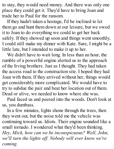to stay, they would need money. And there was only one place they could get it. They'd have to bring Joan and trade her to Paul for the ransom.

If they hadn't taken a hostage, I'd be inclined to let them go and hunt them down at our leisure, but we owed it to Joan to do everything we could to get her back safely. If they showed up soon and things went smoothly, I could still make my dinner with Kate. Sure, I might be a little late, but I intended to make it up to her.

We didn't have to wait long. In less than an hour, the rumble of a powerful engine alerted us to the approach of the Irving brothers. Just as I thought. They had taken the access road to the construction site. I hoped they had Joan with them. If they arrived without her, things would get considerably more complicated. We would have to try to subdue the pair and beat her location out of them. Dead or alive, we needed to know where she was.

Paul faced us and peered into the woods. Don't look at us, you dumbass.

In a few minutes, lights shone through the trees, then they went out, but the noise told me the vehicle was continuing toward us. Idiots. Their engine sounded like a small tornado. I wondered what they'd been thinking. *Hey, Mick, how can we be inconspicuous? Well, John, we'll turn the lights of . Nobody will ever know we're coming.*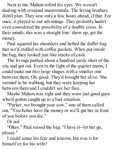Next to me, Mahon rolled his eyes. We weren't dealing with criminal masterminds. The Irving brothers didn't plan. They saw only a few hours ahead, if that. For once, it played to our advantage. They probably hadn't even considered the possibility of a double cross. In their minds, this was a straight line: show up, get the money.

Paul squared his shoulders and hefted the duffel bag that we'd stuffed with coffee packets. When put inside the bag, they looked just like stacks of cash.

The Irvings parked about a hundred yards short of the site and got out. Even in the light of the quarter moon, I could make out two large shapes with a smaller one between them. Oh, good. They'd brought her alive. She seemed to be walking, but they were keeping her between them and I couldn't see her face.

Maybe Mahon was right and they were just good guys who'd gotten caught up in a bad situation.

"Parker, we brought your sow," one of them called out. "You better have the money or we'll gut her in front of you before you die."

Or not.

"Okay." Paul raised the bag. "I have it--let her go, please."

I could sense his fear and tension, but was it for himself or for his wife?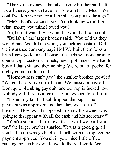"Throw the money," the other Irving brother said. "If it's all there, you can have her. She ain't hurt. Much. We could've done worse for all the shit you put us through."

"Me?" Paul's voice shook. "You took my wife! For what, money you think I owed you?"

Ah, here it was. If we waited it would all come out.

"Bullshit," the larger brother said. "You told us they would pay. We did the work, you fucking bastard. Did the insurance company pay? No! We built them folks a brand-new goddamned house, tile fucking floors, granite countertops, custom cabinets, new appliances--we had to buy all that shit, and then nothing. We're out of pocket for eighty grand, goddamn it."

"Homeowners can't pay," the smaller brother growled. "We got barely five out of them. We missed a payroll, Dom quit, plumbing guy quit, and our rep is fucked now. Nobody will hire us after that. You owe us, for all of it."

"It's not my fault!" Paul dropped the bag. "The payment was approved and then they went out of business. How was I supposed to know the owner was going to disappear with all the cash and his secretary?"

"You're supposed to know--that's what we paid you for," the larger brother snarled. "It was a good gig, all you had to do was go back and forth with the rep, get the payment approved. You sit in your nice little office running the numbers while we do the real work. We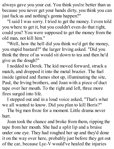always gave you your cut. You think you're better than us because you never get your hands dirty, you think you can just fuck us and nothing's gonna happen?"

"I said I was sorry. I tried to get the money. I even told you where to get it, but you couldn't even do that right, could you? You were supposed to get the money from the old man, not kill him."

"Well, how the hell did you think we'd get the money, you stupid bastard?" the larger Irving asked. "Did you think the three of us would sit down to tea and then he'd give us the dough?"

I nodded to Derek. The kid moved forward, struck a match, and dropped it into the metal brazier. The fuel inside ignited and flames shot up, illuminating the site, Paul, the Irving brothers, and Joan with a piece of duct tape over her mouth. To the right and left, three more fires surged into life.

I stepped out and in a loud voice asked, "That's what we all wanted to know. Did you plan to kill Boris?"

The big men froze for a moment. Little drama never hurt.

Joan took the chance and broke from them, ripping the tape from her mouth. She had a split lip and a bruise under one eye. They had roughed her up and they'd done it on the way over here, probably just before they got out of the car, because Lyc-V would've healed the injuries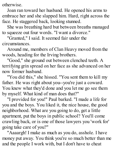otherwise.

Joan ran toward her husband. He opened his arms to embrace her and she slapped him. Hard, right across the face. He staggered back, looking stunned.

She was breathing hard but between breaths managed to squeeze out four words. "I want a divorce."

"Granted," I said. It seemed fair under the circumstances.

Around me, members of Clan Heavy moved from the woods, heading for the Irving brothers.

"Good," she ground out between clenched teeth. A terrifying grin spread on her face as she advanced on her now former husband.

"You did this," she hissed. "You sent them to kill my father. He was right about you--you're just a coward. You knew what they'd done and you let me go see them by myself. What kind of man does that?"

"I provided for you!" Paul barked. "I made a life for you and the boys. You liked it, the nice house, the good neighborhood. What are you going to do, get a little apartment, put the boys in public school? You'll come crawling back, or is one of those lawyers you 'work for' going take care of you?"

"Aaaargh! I make as much as you do, asshole. I have money put away. You think you're so much better than me and the people I work with, but I don't have to cheat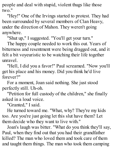people and deal with stupid, violent thugs like those two."

"Hey!" One of the Irvings started to protest. They had been surrounded by several members of Clan Heavy, under the direction of Mahon. They weren't going anywhere.

"Shut up," I suggested. "You'll get your turn."

The happy couple needed to work this out. Years of bitterness and resentment were being dragged out, and it felt a bit voyeuristic to be watching their life together unravel.

"Hell, I did you a favor!" Paul screamed. "Now you'll get his place and his money. Did you think he'd live forever?"

For a moment, Joan said nothing. She just stood perfectly still. Uh-oh.

"Petition for full custody of the children," she finally asked in a loud voice.

"Granted," I said.

He turned toward me. "What, why? They're my kids too. Are you're just going let this slut have them? Let them decide who they want to live with."

Joan's laugh was bitter. "What do you think they'll say, Paul, when they find out that you had their grandfather killed? The man who loved them and took care of them and taught them things. The man who took them camping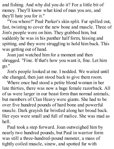and fishing. And why did you do it? For a little bit of money. They'll know what kind of man you are, and they'll hate you for it."

"You whore!" Paul Parker's skin split. Fur spilled out, fast, twisting to cover the new bone and muscle. Three of Jim's people were on him. They grabbed him, but suddenly he was in his panther half form, hissing and spitting, and they were struggling to hold him back. This was getting out of hand.

Joan just watched him for a moment and then shrugged. "Fine. If that's how you want it, fine. Let him go."

Jim's people looked at me. I nodded. We waited until she changed, then just stood back to give them room.

Where once had stood a petite blond woman in her late thirties, there was now a huge female razorback. All of us were larger in our beast form than normal animals, but members of Clan Heavy were giants. She had to be over five hundred pounds of hard bone and powerful muscle. Dark grayish fur bristled along her broad back. Her eyes were small and full of malice. She was mad as hell.

Paul took a step forward. Joan outweighed him by nearly two hundred pounds, but Paul in warrior form was still a three-hundred-pound monster, a mass of tightly coiled muscle, sinew, and spotted fur with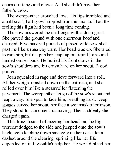enormous fangs and claws. And she didn't have her father's tusks.

The werepanther crouched low. His lips trembled and a half snarl, half growl rippled from his mouth. I had the feeling this fight had been a long time coming.

The sow answered the challenge with a deep grunt. She pawed the ground with one enormous hoof and charged. Five hundred pounds of pissed wild sow shot past me like a runaway train. Her head was up. She tried to ram him, but the panther leapt up on liquid joints and landed on her back. He buried his front claws in the sow's shoulders and bit down hard on her snout. Blood poured.

Joan squealed in rage and dove forward into a roll. All her weight crashed down on the cat-man, and she rolled over him like a steamroller flattening the pavement. The werepanther let go of the sow's snout and leapt away. She spun to face him, breathing hard. Deep gouges carved her snout, her face a wet mask of crimson. They stood for a moment, unmoving. Then suddenly she charged again.

This time, instead of meeting her head-on, the big werecat dodged to the side and jumped onto the sow's back, teeth latching down savagely on her neck. Joan dashed around the clearing, sprinting like her life depended on it. It wouldn't help her. He would bleed her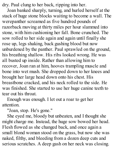dry. Paul clung to her back, ripping into her.

Joan banked sharply, turning, and hurled herself at the stack of huge stone blocks waiting to become a wall. The werepanther screamed as five hundred pounds of razorback moving at thirty miles per hour slammed into stone, with him cushioning her fall. Bone crunched. The sow rolled to her side again and again until finally she rose up, legs shaking, back gushing blood but now unburdened by the panther. Paul sprawled on the ground, his breathing shallow. His ribs looked wrong. He was all busted up inside. Rather than allowing him to recover, Joan ran at him, hooves trampling muscle and bone into wet mush. She dropped down to her knees and brought her large head down onto his chest. His breastbone cracked, and his neck rolled to the side. He was finished. She started to use her huge canine teeth to tear out his throat.

Enough was enough. I let out a roar to get her attention.

"Joan, stop. He's gone."

She eyed me, bloody but unbeaten, and I thought she might charge me. Instead, the huge sow bowed her head. Flesh flowed as she changed back, and once again a small blond woman stood on the grass, but now she was naked, filthy, and bleeding from a dozen deep cuts and serious scratches. A deep gash on her neck was closing.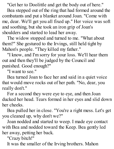"Get her to Doolittle and get the body out of here."

Bea stepped out of the ring that had formed around the combatants and put a blanket around Joan. "Come with me, dear. We'll get you all fixed up." Her voice was soft and soothing, but she took an iron grip of Joan's shoulders and started to lead her away.

The widow stopped and turned to me. "What about them?" She gestured to the Irvings, still held tight by Mahon's people. "They killed my father."

"I know, and I'm sorry for your loss. We'll hear them out and then they'll be judged by the Council and punished. Good enough?"

"I want to see."

Bea turned Joan to face her and said in a quiet voice that would move rocks out of her path. "No, dear, you really don't."

For a second they were eye to eye, and then Joan ducked her head. Tears formed in her eyes and slid down her cheeks.

Bea pulled her in close. "You're a right mess. Let's get you cleaned up, why don't we?"

Joan nodded and started to weep. I made eye contact with Bea and nodded toward the Keep. Bea gently led her away, petting her back.

"Crazy bitch!"

It was the smaller of the Irving brothers. Mahon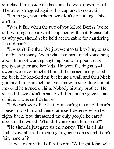smacked him upside the head and he went down. Hard. The other struggled against his captors, to no avail.

"Let me go, you fuckers, we didn't do nothing. This ain't fair."

"Was it fair when the two of you killed Boris? We're still waiting to hear what happened with that. Please tell us why you shouldn't be held accountable for murdering the old man?"

"It wasn't like that. We just went to talk to him, to ask him for the money. We might have mentioned something about him not wanting anything bad to happen to his pretty daughter and her kids. He went fucking nuts--I swear we never touched him till he turned and pushed me back. He knocked me back into a wall and then Mick grabbed him from behind--you know, just to drag him off me--and he turned on him. Nobody hits my brother. He started it--we didn't mean to kill him, but he gave us no choice. It was self-defense."

"It doesn't work like that. You can't go to an old man's house to rob him and then claim self-defense when he fights back. You threatened the only people he cared about in the world. What did you expect him to do?"

"He shoulda just gave us the money. This is all his fault. Now all y'all are going to gang up on us and it ain't fair, none of it."

He was overly fond of that word. "All right John, what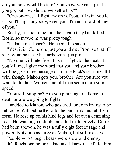do you think would be fair? You know we can't just let you go, but how should we settle this?"

"One-on-one, I'll fight any one of you. If I win, you let us go. I'll fight anybody, even you--I'm not afraid of any of you."

Really, he should be, but then again they had killed Boris, so maybe he was pretty tough.

"Is that a challenge?" He needed to say it.

"Yes, it is. Come on, just you and me. Promise that if I start winning these bastards won't jump in."

"No one will interfere--this is a fight to the death. If you kill me, I give my word that you and your brother will be given free passage out of the Pack's territory. If I win, though, Mahon gets your brother. Are you sure you want to do this? Women and old men seem more your speed."

"You still yapping? Are you planning to talk me to death or are we going to fight?"

I nodded to Mahon, who gestured for John Irving to be let loose. Without further ado, he burst into his full bear form. He rose up on his hind legs and let out a deafening roar. He was big, no doubt, an adult male grizzly. Derek had been spot-on, he was a fully eight feet of rage and power. Not quite as large as Mahon, but still massive.

People who thought bears were slow and clumsy hadn't fought one before. I had and I knew that if I let him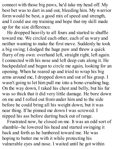connect with those big paws, he'd take my head off. My best bet was to dart in and out, bleeding him. My warrior form would be best, a good mix of speed and strength, and I could use my training and hope that my skill made up for the size difference.

He dropped heavily to all fours and started to shuffle toward me. We circled each other, each of us wary and neither wanting to make the first move. Suddenly he took a big swing; I dodged the huge paw and threw a quick flurry of my own: overhand left, straight right, left again. I connected with his nose and left deep cuts along it. He backpedaled and began to circle me again, looking for an opening. When he reared up and tried to wrap his big arms around me, I dropped down and out of his grasp. I wasn't going to let him pull me into a bone-crushing hug. On the way down, I raked his chest and belly, but his fur was so thick that it did very little damage. He bore down on me and I rolled out from under him and to the side before he could bring all his weight down, but it was near thing. If he pinned me down I was screwed. I nipped his ass before darting back out of range.

Frustrated now, he closed on me. It was an odd sort of shamble--he lowered his head and started swinging it back and forth as he lumbered toward me. He was hoping to batter me with it while protecting his vulnerable eyes and nose. I waited until he got within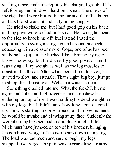striking range, and sidestepping his charge, I grabbed his left foreleg and bit down hard on his ear. The claws of my right hand were buried in the fur and fat of his hump and his blood was hot and salty on my tongue.

He tried to shake me, but I had good grip on his back and my jaws were locked on his ear. He swung his head to the side to knock me off, but instead I used the opportunity to swing my legs up and around his neck, squeezing it in a scissor move. Oops, one of us has been studying his jujitsu. He bucked like a bronco trying to throw a cowboy, but I had a really good position and I was using all my weight as well as my leg muscles to constrict his throat. After what seemed like forever, he started to slow and stumble. That's right, big boy, just go to sleep. It's almost over. Well, that wasn't so bad.

Something crashed into me. What the fuck? It hit me again and John and I fell together, and somehow he ended up on top of me. I was holding his dead weight up with my legs, but I didn't know how long I could keep it up. He was starting to come around, and in few moments he would be awake and clawing at my face. Suddenly the weight on my legs seemed to double. Son of a bitch! Mick must have jumped on top of his brother, bringing the combined weight of the two bears down on my legs. The load was too much and sure enough, my legs snapped like twigs. The pain was excruciating. I roared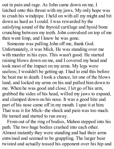out in pain and rage. As John came down on me, I latched onto this throat with my jaws. My only hope was to crush his windpipe. I held on with all my might and bit down as hard as I could. I was rewarded by the satisfying sound of the thyroid cartilage and hyoid bone crunching between my teeth. John convulsed on top of me then went limp, and I knew he was gone.

Someone was pulling John off me, thank God. Unfortunately, it was Mick. He was standing over me with murder in his eyes. This wasn't good. He started raining blows down on me, and I covered my head and took most of the impact on my arms. My legs were useless; I wouldn't be getting up. I had to end this before he beat me to death. I took a chance, let one of the blows land, and locked my arms on his and pulled him down to me. When he was good and close, I let go of his arm, grabbed the sides of his head, willed my jaws to expand, and clamped down on his nose. It was a good bite and part of his nose came off in my mouth. I spat it at him. That was it for Mick--the shock and pain was too much. He turned and started to run away.

From out of the ring of bodies, Mahon stepped into his path. The two huge bodies crashed into each other. Almost instantly they were standing and had their arms entwined and seemed to be grappling. The larger bear twisted and actually tossed his opponent over his hip and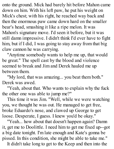onto the ground. Mick had barely hit before Mahon came down on him. With his left paw, he put his weight on Mick's chest; with his right, he reached way back and then the enormous paw came down hard on the smaller bear's head, smashing it like a ripe melon. It was Mahon's signature move. I'd seen it before, but it was still damn impressive. I didn't think I'd ever have to fight him, but if I did, I was going to stay away from that big claw cannon he was carrying.

"Anytime somebody wants to help me up, that would be great." The spell cast by the blood and violence seemed to break and Jim and Derek hauled me up between them.

"My lord, that was amazing... you beat them both." Derek was awed.

"Yeah, about that. Who wants to explain why the fuck the other one was able to jump me?"

This time it was Jim. "Well, while we were watching you, we thought he was out. He managed to get free, broke Eduardo's nose, and clawed up George to get loose. Desperate, I guess. I knew you'd be okay."

"Yeah... how about that doesn't happen again? Damn it, get me to Doolittle. I need him to get me fixed up--got a big date tonight. I'm late enough and Kate's gonna be pissed. In this condition, she might be able to take me."

It didn't take long to get to the Keep and then into the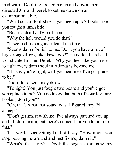med ward. Doolittle looked me up and down, then directed Jim and Derek to set me down on an examination table.

"What sort of foolishness you been up to? Looks like you fought a landslide."

"Bears actually. Two of them."

"Why the hell would you do that?"

"It seemed like a good idea at the time."

"Seems damn foolish to me. Don't you have a lot of big strong killers, like these two?" He nodded his head to indicate Jim and Derek. "Why you feel like you have to fight every damn soul in Atlanta is beyond me."

"If I say you're right, will you heal me? I've got places to be."

Doolittle raised an eyebrow.

"Tonight? You just fought two bears and you've got someplace to be? You do know that both of your legs are broken, don't you?"

"Oh, that's what that sound was. I figured they fell asleep."

"Don't get smart with me. I've always patched you up and I'll do it again, but there's no need for you to be like that."

The world was getting kind of fuzzy. "How about you stop bossing me around and just fix me, damn it."

"What's the hurry?" Doolittle began examining my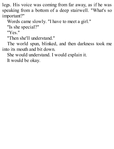legs. His voice was coming from far away, as if he was speaking from a bottom of a deep stairwell. "What's so important?"

Words came slowly. "I have to meet a girl."

"Is she special?"

"Yes."

"Then she'll understand."

The world spun, blinked, and then darkness took me into its mouth and bit down.

She would understand. I would explain it.

It would be okay.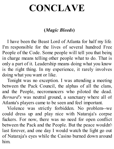# **CONCLAVE**

## **(***Magic Bleeds***)**

I have been the Beast Lord of Atlanta for half my life. I'm responsible for the lives of several hundred Free People of the Code. Some people will tell you that being in charge means telling other people what to do. That is only a part of it. Leadership means doing what you know is the right thing. In my experience, it rarely involves doing what you want or like.

Tonight was no exception. I was attending a meeting between the Pack Council, the alphas of all the clans, and the People, necromancers who piloted the dead. *Bernard's* was neutral ground, a sanctuary where all of Atlanta's players came to be seen and feel important.

Violence was strictly forbidden. No problem--we could dress up and play nice with Nataraja's corpse fuckers. For now, there was no need for open conflict between the Pack and the People. But the peace wouldn't last forever, and one day I would watch the light go out of Nataraja's eyes while the Casino burned down around him.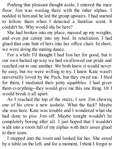Pushing that pleasant thought aside, I entered the main floor. Jim was waiting there with the other alphas. I nodded to him and he led the group upstairs. I had started to follow them when I detected a familiar scent. It couldn't be. Why would she be here?

She had broken into my place, messed up my weights, and even put catnip into my bed. In retaliation, I had glued that cute butt of hers into her office chair. In short, we were doing the mating dance.

For a while I'd thought I had lost her for good, but in our own fucked up way we had swallowed our pride and reached out to one another. We both knew it would never be easy, but we were willing to try. I knew Kate wasn't universally loved by the Pack, but they owed me. I bled for them, I mediated their petty squabbles. I had given them everything--they would give me this one thing. Or I would break it all apart.

As I reached the top of the stairs, I saw Jim chewing one of his crew a new asshole. What the fuck? Maybe she was here. Kate was trouble and I wondered what she had done to piss Jim off. Maybe tonight wouldn't be completely boring after all. I just hoped that I wouldn't walk into a room full of my alphas with their asses glued to their seats.

I stepped into the room and looked for her. She stood by a table on the left, and for a moment, I think I forgot to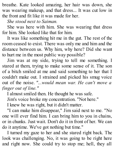breathe. Kate looked amazing, her hair was down, she was wearing makeup, and that dress... It was cut low in the front and fit like it was made for her.

*She stood next to Saiman.*

She was here with him. She was wearing that dress for him. She looked like that for him.

It was like something hit me in the gut. The rest of the room ceased to exist. There was only me and him and the distance between us. Why him, why here? Did she want to hurt me in the most public way possible?

Jim was at my side, trying to tell me something. I stared at them, trying to make some sense of it. The son of a bitch smiled at me and said something to her that I couldn't make out. I strained and picked his smug voice out of the noise. *"...would mean war. He can't move a finger out of line."*

I almost smiled then. He thought he was safe.

Jim's voice broke my concentration. "Not here."

I knew he was right, but it didn't matter.

"I can make him disappear," Jim said next to me. "No one will ever find him. I can bring him to you in chains, or in chunks. Just wait. Don't do it in front of her. We can do it anytime. We've got nothing but time."

I turned my gaze to her and she stared right back. The look was challenging. No, it was going to be right here and right now. She could try to stop me; hell, they all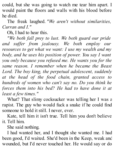could, but she was going to watch me tear him apart. I would paint the floors and walls with his blood before he died.

The freak laughed. *"We aren't without similarities, Curran and I."*

Oh, I had to hear this.

*"We both fall prey to lust. We both guard our pride and suf er from jealousy. We both employ our resources to get what we want: I use my wealth and my body, and he uses his position of power. You say I want you only because you refused me. He wants you for the same reason. I remember when he became the Beast Lord. The boy king, the perpetual adolescent, suddenly at the head of the food chain, granted access to hundreds of women who can't say no. Do you think he forces them into his bed? He had to have done it at least a few times."*

What? That slimy cocksucker was telling her I was a rapist. The guy who would fuck a snake if he could find someone to hold it still. I never, ever.

Kate, tell him it isn't true. Tell him you don't believe it. Tell him.

She said nothing.

I had wanted her, and I thought she wanted me. I had been good, I'd waited. She'd been in the Keep, weak and wounded, but I'd never touched her. He would say or do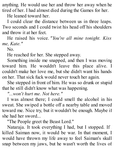anything. He would use her and throw her away when he tired of her. I had almost died during the Games for her.

He leaned toward her.

I could clear the distance between us in three leaps. Two seconds and I could twist his head off his shoulders and throw it at her feet.

He raised his voice. *"You're all mine tonight. Kiss me, Kate."*

No.

He reached for her. She stepped away.

Something inside me snapped, and then I was moving toward him. He wouldn't leave this place alive. I couldn't make her love me, but she didn't want his hands on her. That sick fuck would never touch her again.

She stepped in front of him. He was so drunk or stupid that he still didn't know what was happening.

*"...won't hurt me. Not here."*

I was almost there; I could smell the alcohol in his sweat. She swiped a bottle off a nearby table and moved toward me. Nice try, but it wouldn't be enough. Maybe if she had her sword...

"The People greet the Beast Lord."

Nataraja. It took everything I had, but I stopped. If killed Saiman now, it would be war. In that moment, I would have thrown my life away to feel Saiman's skull snap between my jaws, but he wasn't worth the lives of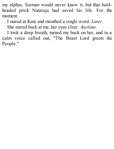my alphas. Saiman would never know it, but that baldheaded prick Nataraja had saved his life. For the moment.

I stared at Kate and mouthed a single word. *Later.*

She stared back at me, her eyes clear. *Anytime.*

I took a deep breath, turned my back on her, and in a calm voice called out, "The Beast Lord greets the People."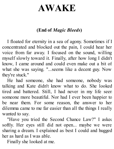## **AWAKE**

## **(End of** *Magic Bleeds***)**

I floated for eternity in a sea of agony. Sometimes if I concentrated and blocked out the pain, I could hear her voice from far away. I focused on the sound, willing myself slowly toward it. Finally, after how long I didn't know, I came around and could even make out a bit of what she was saying. "...seems like a decent guy. Now they're stuck."

He had someone, she had someone, nobody was talking and Kate didn't know what to do. She looked tired and battered. Still, I had never in my life seen someone more beautiful. Nor had I ever been happier to be near them. For some reason, the answer to her dilemma came to me far easier than all the things I really wanted to say.

"Have you tried the Second Chance Law?" I asked softly. Her eyes still did not open... maybe we were sharing a dream. I explained as best I could and hugged her as hard as I was able.

Finally she looked at me.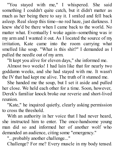"You stayed with me," I whispered. She said something I couldn't quite catch, but it didn't matter as much as her being there to say it. I smiled and fell back asleep. Real sleep this time--no red haze, just darkness. I knew she'd be there when I came back to the world. No matter what. Eventually I woke again--something was in my arm and I wanted it out. As I located the source of my irritation, Kate came into the room carrying what smelled like soup. "What is this shit?" I demanded as I pulled the needle out of my arm.

"It kept you alive for eleven days," she informed me.

Almost two weeks! I had lain like that for nearly two goddamn weeks, and she had stayed with me. It wasn't the IV that had kept me alive. The truth of it stunned me.

She handed me the soup, but I set it aside and pulled her close. We held each other for a time. Soon, however, Derek's familiar knock broke our reverie and short-lived reunion.

"Kate," he inquired quietly, clearly asking permission to cross the threshold.

With an authority in her voice that I had never heard, she instructed him to enter. The once-handsome young man did so and informed her of another wolf who demanded an audience, citing some "emergency."

"...probably another challenge..."

Challenge? For me? Every muscle in my body tensed.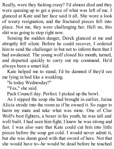Really, were they fucking crazy? I'd almost died and they were queuing up to get a piece of what was left of me. I glanced at Kate and her face said it all. She wore a look of weary resignation, and the fractured pieces fell into place. Not me, they were challenging her. Hell no, this shit was going to stop right now.

Sensing the sudden danger, Derek glanced at me and abruptly fell silent. Before he could recover, I ordered him to send the challenger in but not to inform them that I had awakened. The young wolf closed his mouth, turned, and departed quickly to carry out my command. He'd always been a smart kid.

Kate helped me to stand; I'd be damned if they'd see me lying in bed like a weakling.

"Is today Wednesday?"

"Yes," she said.

Pack Council day. Perfect. I picked up the bowl.

As I sipped the soup she had brought in earlier, Jaime Alicia strode into the room as if he owned it. So eager to harm my mate and take what was mine. One of Clan Wolf's best fighters, a boxer in his youth, he was tall and well built. I had seen him fight; I knew he was strong and fast. I was also sure that Kate could cut him into little pieces before the soup got cold. I would never admit it, but she was damn good with that sword of hers. Not that she would have to--he would be dead before he touched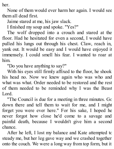her.

None of them would ever harm her again. I would see them all dead first.

Jaime stared at me, his jaw slack.

I finished my soup and spoke. "Yes?"

The wolf dropped into a crouch and stared at the floor. Had he hesitated for even a second, I would have pulled his lungs out through his chest. Claw, reach in, yank out. It would be easy and I would have enjoyed it immensely. I could smell his fear. I wanted to roar at him.

"Do you have anything to say?"

With his eyes still firmly affixed to the floor, he shook his head no. Now we knew again who was who and what was what. Order needed to be restored and the rest of them needed to be reminded why I was the Beast Lord.

"The Council is due for a meeting in three minutes. Go down there and tell them to wait for me, and I might forget you were ever here." For his sake, I hoped he never forgot how close he'd come to a savage and painful death, because I wouldn't give him a second chance.

After he left, I lost my balance and Kate attempted to steady me, but her leg gave way and we crashed together onto the couch. We were a long way from top form, but it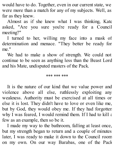would have to do. Together, even in our current state, we were more than a match for any of my subjects. Well, as far as they knew.

Almost as if she knew what I was thinking, Kate asked, "Are you sure you're ready for a Council meeting?"

I turned to her, willing my face into a mask of determination and menace. "They better be ready for

me."We had to make <sup>a</sup> show of strength. We could not continue to be seen as anything less than the Beast Lord and his Mate, undisputed masters of the Pack.

#### \*\*\* \*\*\* \*\*\*

It is the nature of our kind that we value power and violence above all else, ruthlessly exploiting any weakness. Authority must be exercised at all times or else it is lost. They didn't have to love or even like me, but by God, they would obey me. If they had forgotten why I was feared. I would remind them. If I had to kill  $\varepsilon$ few as an example, then so be it.

I made my way to the bathroom, falling at least once, but my strength began to return and a couple of minutes later, I was ready to make it down to the Council room on my own. On our way Barabas, one of the Pack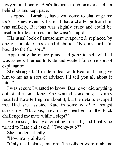lawyers and one of Bea's favorite troublemakers, fell in behind us and kept pace.

I stopped. "Barabas, have you come to challenge me too?" I knew even as I said it that a challenge from him was unlikely. Barabas was slightly crazy and could be insubordinate at times, but he wasn't stupid.

His usual look of amusement evaporated, replaced by one of complete shock and disbelief. "No, my lord, I'm bound to the Consort."

Apparently the entire place had gone to hell while I was asleep. I turned to Kate and waited for some sort of explanation.

She shrugged. "I made a deal with Bea, and she gave him to me as a sort of adviser. I'll tell you all about it later."

I wasn't sure I wanted to know; Bea never did anything out of altruism alone. She wanted something. I dimly recalled Kate telling me about it, but the details escaped me. Had she assisted Kate in some way? A thought struck me. "Barabas, how many members of the Pack challenged my mate while I slept?"

He paused, clearly attempting to recall, and finally he turned to Kate and asked, "Twenty-two?"

She nodded silently.

"How many alphas?"

"Only the Jackals, my lord. The others were rank and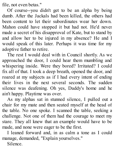file, not even betas."

Of course--you didn't get to be an alpha by being dumb. After the Jackals had been killed, the others had been content to let their subordinates wear her down. Mahon could have stopped it but had not. He'd never made a secret of his disapproval of Kate, but to stand by and allow her to be injured in my absence? He and I would speak of this later. Perhaps it was time for my adoptive father to retire.

The rest I would deal with in Council shortly. As we approached the door, I could hear them mumbling and whispering inside. Were they bored? Irritated? I could fix all of that. I took a deep breath, opened the door, and roared at my subjects as if I had every intent of ending their lives in the next several seconds. The sudden silence was deafening. Oh yes, Daddy's home and he ain't happy. Playtime was over.

As my alphas sat in stunned silence, I pulled out a chair for my mate and then seated myself at the head of the table. No one spoke. I scanned the table, seeking a challenge. Not one of them had the courage to meet my stare. They all knew that an example would have to be made, and none were eager to be the first.

I leaned forward and, in as calm a tone as I could manage, demanded, "Explain yourselves."

Silence.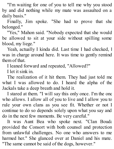"I'm waiting for one of you to tell me why you stood by and did nothing while my mate was assaulted on a daily basis."

Finally, Jim spoke. "She had to prove that she belonged."

"Yes," Mahon said. "Nobody expected that she would be allowed to sit at your side without spilling some blood, my liege."

Yeah, actually I kinda did. Last time I had checked, I was in charge around here. It was time to gently remind them of that.

I leaned forward and repeated, "Allowed?"

I let it sink in.

The realization of it hit them. They had just told me what I was allowed to do. I heard the alpha of the Jackals take a deep breath and hold it.

I stared at them. "I will say this only once. I'm the one who allows. I allow all of you to live and I allow you to rule your own clans as you see fit. Whether or not I continue to do so depends solely upon what you say and do in the next few moments. Be very careful."

It was Aunt Bea who spoke next. "Clan Bouda provided the Consort with both counsel and protection from unlawful challenges. No one who answers to me harmed her." She glanced over at Daniel and his mate. "The same cannot be said of the dogs, however."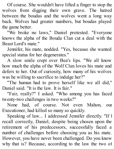Of course. She wouldn't have lifted a finger to stop the wolves from digging their own grave. The hatred between the boudas and the wolves went a long way back. Wolves had greater numbers, but boudas played the game better.

"We broke no laws," Daniel protested. "Everyone knows the alpha of the Bouda Clan cut a deal with the Beast Lord's mate."

Jennifer, his mate, nodded. "Yes, because she wanted special status for her degenerates."

A slow smile crept over Bea's lips. "We all know how much the alpha of the Wolf Clan loves his mate and defers to her. Out of curiosity, how many of his wolves was he willing to sacrifice to indulge her?"

"The human had to prove herself like we all did," Daniel said. "It is the law. It is fair."

"Fair, really?" I asked. "Who among you has faced twenty-two challenges in two weeks?"

None had, of course. Not even Mahon, our Executioner, had killed so many so quickly.

Speaking of law... I addressed Jennifer directly. "If I recall correctly, Daniel, despite being chosen upon the retirement of his predecessors, successfully faced a number of challenges before choosing you as his mate. However, you have never been challenged. Do you know why that is? Because, according to the law the two of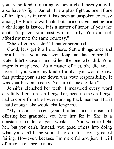you are so fond of quoting, whoever challenges you will also have to fight Daniel. The alphas fight as one. If one of the alphas is injured, it has been an unspoken courtesy among the Pack to wait until both are on their feet before a challenge is issued. It is a matter of honor. If you take another's place, you must win it fairly. You did not afford my mate the same courtesy."

"She killed my sister!" Jennifer screamed.

Good, let's get it all out there. Settle things once and for all. "True, your sister went loup and attacked her. But Kate didn't cause it and killed the one who did. Your anger is misplaced. As a matter of fact, she did you a favor. If you were any kind of alpha, you would know that putting your sister down was your responsibility. It was your burden to carry. You are the next of kin."

Jennifer clenched her teeth. I measured every word carefully. I couldn't challenge her, because the challenge had to come from the lower-ranking Pack member. But if I said enough, she would challenge me.

"My mate assumed your burden, and instead of offering her gratitude, you hate her for it. She is a constant reminder of your weakness. You want to fight her, but you can't. Instead, you goad others into doing what you can't bring yourself to do. It is your greatest failing. However, because I'm merciful and just, I will offer you a chance to atone."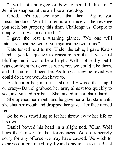"I will not apologize or bow to her. I'll die first." Jennifer snapped at the air like a mad dog.

Good, let's just see about that then. "Again, you misunderstand. What I offer is a chance at the revenge you seek, but properly this time. Challenge us. Couple to couple, as it was meant to be."

I gave the rest a warning glance. "No one will interfere. Just the two of you against the two of us."

Kate tensed next to me. Under the table, I gave Kate's hand a gentle squeeze to reassure her that I was just bluffing and it would be all right. Well, not really, but I was confident that even as we were, we could take them, and all the rest if need be. As long as they believed we could do it, we wouldn't have to.

As Jennifer began to rise--she really was either stupid or crazy--Daniel grabbed her arm, almost too quickly to see, and yanked her back. She landed in her chair, hard.

She opened her mouth and he gave her a flat stare until she shut her mouth and dropped her gaze. Her face turned red.

So he was unwilling to let her throw away her life or his own.

Daniel bowed his head in a slight nod. "Clan Wolf begs the Consort for her forgiveness. We are sincerely sorry for any offense we may have caused. We wish to express our continued loyalty and obedience to the Beast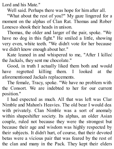Lord and his Mate."

Well said. Perhaps there was hope for him after all.

"What about the rest of you?" My gaze lingered for a moment on the alphas of Clan Rat. Thomas and Rober Lonesco shook their heads in unison.

Thomas, the older and larger of the pair, spoke. "We have no dog in this fight." He smiled a little, showing very even, white teeth. "We didn't vote for her because we didn't know enough about her."

Kate leaned in and whispered to me, "After I killed the Jackals, they sent me chocolate."

Good, in truth I actually liked them both and would have regretted killing them. I looked at the aforementioned Jackals replacements.

The female, Tracy, spoke. "We have no problem with the Consort. We are indebted to her for our current position."

I had expected as much. All that was left was Clan Nimble and Mahon's Heavies. The old bear I would deal with privately. Clan Nimble was a sort of anomaly within shapeshifter society. Its alphas, an older Asian couple, ruled not because they were the strongest but because their age and wisdom was highly respected by their subjects. It didn't hurt, of course, that their devoted betas were a vicious pair that was feared by the rest of the clan and many in the Pack. They kept their elders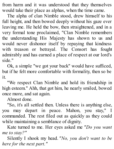from harm and it was understood that they themselves would take their place as alphas, when the time came.

The alpha of clan Nimble stood, drew himself to his full height, and then bowed deeply without his gaze ever leaving me. He held the bow, then straightened, and in a very formal tone proclaimed, "Clan Nimble remembers the understanding His Majesty has shown to us and would never dishonor itself by repaying that kindness with treason or betrayal. The Consort has fought admirably and has earned a place of respect at our lord's side."

Ok, a simple "we got your back" would have sufficed, but if he felt more comfortable with formality, then so be it.

"We respect Clan Nimble and hold its friendship in high esteem." Ahh, that got him, he nearly smiled, bowed once more, and sat again.

Almost done.

"So, it's all settled then. Unless there is anything else, you may depart in peace. Mahon, you stay," I commanded. The rest filed out as quickly as they could while maintaining a semblance of dignity.

Kate turned to me. Her eyes asked me *"Do you want me to stay?"*

Silently I shook my head. *"No, you don't want to be here for the next part."*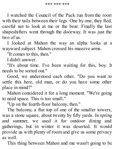I watched the Council of the Pack run from the room with their tails between their legs. One by one, they fled, careful not to look at me or the bear. Finally the last shapeshifters went through the doorway. It was just the two of us.

I looked at Mahon the way an alpha looks at a wayward subject. Mahon crossed his massive arms.

"It comes to this, then."

I didn't answer.

"It's about time. I've been waiting for this, boy. It needs to be sorted out."

Good, we understood each other. "Do you want to settle this here, old man, or do you have some other place in mind?"

Mahon considered it for a long moment. "We're going to need space. This is too small."

"Up on the fourth-floor balcony, then."

The balcony, a flat top of one of the smaller towers, was a stone square, about twenty by fifty yards. In spring and summer, we used it for outdoor dining and gatherings, but in winter it was deserted. It would provide us with plenty of room and give us some privacy as well.

This thing between Mahon and me wasn't going to be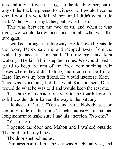an exhibition. It wasn't a fight to the death, either, but if any of the Pack happened to witness it, it would become one. I would have to kill Mahon, and I didn't want to do that. Mahon wasn't my father, but I was his son.

This was between the two of us, and when it was over, we would know once and for all who was the strongest.

I walked through the doorway. He followed. Outside the room, Derek saw me and stepped away from the wall. I glanced at him, said, "Follow me," and kept walking. The kid fell in step behind us. We would need a guard to keep the rest of the Pack from sticking their noses where they didn't belong, and it couldn't be Jim or Kate. Jim was my best friend. He would interfere. Kate... This was something I didn't want Kate to see. Derek would do what he was told and would keep the rest out.

The three of us made our way to the fourth floor. A solid wooden door barred the way to the balcony.

I looked at Derek. "You stand here. Nobody gets on the other side of this door." I held his gaze for another long moment to make sure I had his attention. "No one."

"Yes, m'lord."

I opened the door and Mahon and I walked outside. The cold air hit my lungs.

The door shut behind us.

Darkness had fallen. The sky was black and vast, and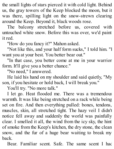the small lights of stars pierced it with cold light. Behind us, the gray towers of the Keep blocked the moon, but it was there, spilling light on the snow-strewn clearing around the Keep. Beyond it, black woods rose.

The balcony stretched before us, covered with untouched white snow. Before this was over, we'd paint it red.

"How do you fancy it?" Mahon asked.

"Not like this, and your half form sucks," I told him. "I want you at your best. You better bear out."

"In that case, you better come at me in your warrior form. It'll give you a better chance."

"No need," I answered.

He laid his hand on my shoulder and said quietly, "My son, if you hesitate or hold back, I will break you."

You'll try. "No more talk."

I let go. Heat flooded me. There was a tremendous warmth. It was like being stretched on a rack while being set on fire. And then everything pulled: bones, tendons, muscles, skin, all stretched tight. The hazy veil I didn't notice fell away and suddenly the world was painfully clear. I smelled it all, the wind from the icy sky, the hint of smoke from the Keep's kitchen, the dry stone, the clean snow, and the fur of a huge bear waiting to break my back.

Bear. Familiar scent. Safe. The same scent I had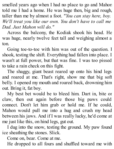smelled years ago when I had no place to go and Mahon told me I had a home. He was huge then, big and rough, taller than me by almost a foot. *"You can stay here, boy. We'll treat you like our own. You don't have to call me Dad. Just Mahon will do."*

Across the balcony, the Kodiak shook his head. He was huge, nearly twelve feet tall and weighing almost a ton.

Going toe-to-toe with him was out of the question. I shook, testing the shift. Everything had fallen into place. I wasn't at full power, but that was fine. I was too pissed to take a rain check on this fight.

The shaggy, giant beast reared up onto his hind legs and roared at me. That's right, show me that big soft belly. I opened my mouth and roared back, drowning him out. Bring it, fat boy.

My best bet would be to bleed him. Dart in, bite or claw, then out again before those big paws could connect. Don't let him grab or hold me. If he could, Mahon would pull me into a hug and crush my head between his jaws. And if I was really lucky, he'd come at me just like this, on hind legs, gut out.

I dug into the snow, testing the ground. My paw found ice sheathing the stones. Slick.

Come on, bear. Come at me.

He dropped to all fours and shuffled toward me with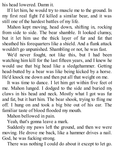his head lowered. Damn it.

If I let him, he would try to muscle me to the ground. In my first real fight I'd killed a similar bear, and it was still one of the hardest battles of my life.

Mahon kept moving, head down, shifting in, rocking from side to side. The bear shamble. It looked clumsy, but it let him use the thick layer of fur and fat that sheathed his forequarters like a shield. And a flank attack wouldn't go unpunished. Shambling or not, he was fast.

We'd never fought, not like this, but I had been watching him kill for the last fifteen years, and I knew he would use that big head like a sledgehammer. Getting head-butted by a bear was like being kicked by a horse. He'd knock me down and then put all that weight on me.

It was time to dance. I let him get within five feet of me. Mahon lunged. I dodged to the side and buried my claws in his head and neck. Mostly what I got was fur and fat, but it hurt him. The bear shook, trying to fling me off. I hung on and took a big bite out of his ear. The familiar taste of blood flooded my mouth.

Mahon bellowed in pain.

Yeah, that's gonna leave a mark.

Suddenly my paws left the ground, and then we were moving. He drove me back, like a hammer drives a nail. God, he was fucking strong.

There was nothing I could do about it except to let go.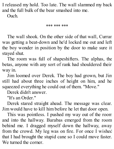I released my hold. Too late. The wall slammed my back and the full bulk of the bear smashed into me. Ouch.

\*\*\* \*\*\* \*\*\*

The wall shook. On the other side of that wall, Curran was getting a beat-down and he'd locked me out and left the boy wonder in position by the door to make sure it stayed shut.

The room was full of shapeshifters. The alphas, the betas, anyone with any sort of rank had shouldered their way in.

Jim loomed over Derek. The boy had grown, but Jim still had about three inches of height on him, and he squeezed everything he could out of them. "Move."

Derek didn't answer.

"It's an Order."

Derek stared straight ahead. The message was clear. Jim would have to kill him before he let that door open.

This was pointless. I pushed my way out of the room and into the hallway. Barabas emerged from the room behind me. I dragged myself down the hallway, away from the crowd. My leg was on fire. For once I wished that I had brought the stupid cane so I could move faster. We turned the corner.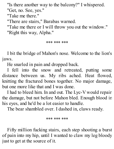"Is there another way to the balcony?" I whispered. "Get, no. See, yes."

"Take me there."

"There are stairs," Barabas warned.

"Take me there or I will throw you out the window." "Right this way, Alpha."

\*\*\* \*\*\* \*\*\*

I bit the bridge of Mahon's nose. Welcome to the lion's jaws.

He snarled in pain and dropped back.

I fell into the snow and retreated, putting some distance between us. My ribs ached. Heat flowed, knitting the fractured bones together. No major damage, but one more like that and I was done.

I had to bleed him. In and out. The Lyc-V would repair the damage, but not before Mahon bled. Enough blood in his eyes, and he'd be a lot easier to handle.

The bear shambled over. I dashed in, claws ready.

\*\*\* \*\*\* \*\*\*

Fifty million fucking stairs, each step shooting a burst of pain into my hip, until I wanted to claw my leg bloody just to get at the source of it.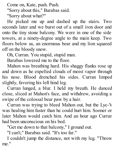Come on, Kate, push. Push.

"Sorry about this," Barabas said.

"Sorry about what?"

He picked me up and dashed up the stairs. Two seconds later and we burst out of a small iron door and onto the tiny stone balcony. We were in one of the side towers, at a ninety-degree angle to the main keep. Two floors below us, an enormous bear and my lion squared off on the bloody snow.

Oh, Curran. You stupid, stupid man.

Barabas lowered me to the floor.

Mahon was breathing hard. His shaggy flanks rose up and down as he expelled clouds of moist vapor through his nose. Blood drenched his sides. Curran limped slightly, favoring his left hind leg.

Curran lunged, a blur. I held my breath. He danced close, sliced at Mahon's face, and withdrew, avoiding a swipe of the colossal bear paw by a hair.

Curran was trying to bleed Mahon out, but the Lyc-V was healing him faster than he could hurt him. Sooner or later Mahon would catch him. And an hour ago Curran had been unconscious on his bed.

"Get me down to that balcony," I ground out.

"I can't," Barabas said. "It's too far."

I couldn't jump the distance, not with my leg. "Throw me."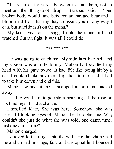"There are fifty yards between us and them, not to mention the thirty-foot drop," Barabas said. "Your broken body would land between an enraged bear and a blood-mad lion. It's my duty to assist you in any way I can, but suicide isn't on the menu."

My knee gave out. I sagged onto the stone rail and watched Curran fight. It was all I could do.

\*\*\* \*\*\* \*\*\*

He was going to catch me. My side hurt like hell and my vision was a little blurry. Mahon had swatted my head with his paw twice. It had felt like being hit by a car. I couldn't take any more big shots to the head. I had to take him down and end this.

Mahon swiped at me. I snapped at him and backed away.

I had to goad him to go into a bear rage. If he rose on his hind legs, I had a chance.

I smelled Kate. She was here. Somehow, she was here. If I took my eyes off Mahon, he'd clobber me. Why couldn't she just do what she was told, one damn time, just one damn time?

Mahon charged.

I dodged left, straight into the wall. He thought he had me and closed in--huge, fast, and unstoppable. I bounced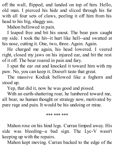off the wall, flipped, and landed on top of him. Hello, old man. I pierced his hide and sliced through his fur with all four sets of claws, peeling it off him from his head to his big, shaggy ass.

Mahon bellowed in pain.

I leaped free and bit his snout. The bear paw caught my side. I took the hit--it hurt like hell--and swatted at his nose, cutting it. One, two, three. Again. Again.

He charged me again, his head lowered. I veered right, closed my jaws on his injured ear, and bit the rest of it off. The bear roared in pain and fury.

I spat the ear out and knocked it toward him with my paw. No, you can keep it. Doesn't taste that great.

The massive Kodiak bellowed like a foghorn and stood up.

Yep, that did it, now he was good and pissed.

With an earth-shattering roar, he lumbered toward me, all bear, no human thought or strategy now, motivated by pure rage and pain. It would be his undoing or mine.

\*\*\* \*\*\* \*\*\*

Mahon rose on his hind legs. Curran limped away. His side was bleeding--a bad sign. The Lyc-V wasn't keeping up with the repairs.

Mahon kept moving. Curran backed to the edge of the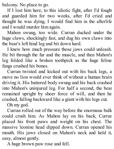balcony. No place to go.

If I lost him here, to this idiotic fight, after I'd fought and guarded him for two weeks, after I'd cried and thought he was dying, I would find him in the afterlife and I would murder him again.

Mahon swung, too wide. Curran ducked under the huge claws, shockingly fast, and dug his own claws into the bear's left hind leg and bit down hard.

I knew how much pressure those jaws could unleash. He bit through the fur and the muscle, and then Mahon's leg folded like a broken toothpick as the huge feline fangs crushed his bones.

Curran twisted and kicked out with his back legs, a move no lion would ever think of without a human brain driving it. His battered body swung and his back crashed into Mahon's uninjured leg. For half a second, the bear remained upright by sheer force of will, and then he crashed, falling backward like a giant with his legs cut.

Oh my god.

Curran rolled out of the way before the enormous bulk could crush him. As Mahon lay on his back, Curran placed his front paws and weight on his chest. The massive leonine head dipped down. Curran opened his mouth. His jaws closed on Mahon's neck and held it, easy, almost gently.

A huge brown paw rose and fell.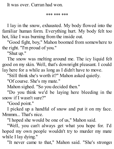It was over. Curran had won.

\*\*\* \*\*\* \*\*\*

I lay in the snow, exhausted. My body flowed into the familiar human form. Everything hurt. My body felt too hot, like I was burning from the inside out.

"Good fight, boy," Mahon boomed from somewhere to the right. "I'm proud of you."

"Shut up."

The snow was melting around me. The icy liquid felt good on my skin. Well, that's downright pleasant. I could lay here for a while as long as I didn't have to move.

"Still think she's worth it?" Mahon asked quietly.

"Of course. She's my mate."

Mahon sighed. "So you decided then."

"Do you think we'd be laying here bleeding in the snow if I wasn't sure?"

"Good point."

I picked up a handful of snow and put it on my face. Mmmm That's nice.

"I hoped she would be one of us," Mahon said.

"Well, you can't always get what you hope for. I'd hoped my own people wouldn't try to murder my mate while I lay dying."

"It never came to that," Mahon said. "She's stronger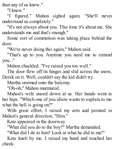than any of us knew."

"I knew."

"I figured." Mahon sighed again. "She'll never understand us completely."

"It's not always about you. This time it's about me. She understands me and that's enough."

Some sort of commotion was taking place behind the door.

"We're never doing this again," Mahon said.

"That's up to you. Anytime you need me to remind you..."

Mahon chuckled. "I've raised you too well."

The door flew off its hinges and slid across the snow, Derek on it. Well, couldn't say the kid didn't try.

Martha stormed onto the balcony.

"Oh-oh," Mahon murmured.

Mahon's wife stared down at us. Her hands went to her hips. "Which one of you idiots wants to explain to me what the hell is going on?"

With great effort, I raised my arm and pointed in Mahon's general direction. "Him."

Kate appeared in the doorway.

"What did you do to the boy?" Martha demanded.

"What did I do to him? Look at what he did to me!"

Kate knelt by me. I raised my hand and touched her cheek.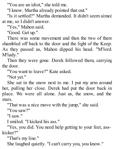"You are an idiot," she told me.

"I know. Martha already pointed that out."

"Is it settled?" Martha demanded. It didn't seem aimed at me, so I didn't answer.

"Yes," Mahon said.

"Good. Get up."

There was some movement and then the two of them shambled off back to the door and the light of the Keep. As they passed us, Mahon dipped his head. "M'lord. M'lady."

Then they were gone. Derek followed them, carrying the door.

"You want to leave?" Kate asked.

"Not yet."

She sat in the snow next to me. I put my arm around her, pulling her close. Derek had put the door back in place. We were all alone. Just us, the snow, and the stars.

"That was a nice move with the jump," she said.

"You saw?"

"I saw."

I smiled. "I kicked his ass."

"Yes, you did. You need help getting to your feet, asskicker?"

"That's my line."

She laughed quietly. "I can't carry you, you know."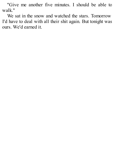"Give me another five minutes. I should be able to walk."

We sat in the snow and watched the stars. Tomorrow I'd have to deal with all their shit again. But tonight was ours. We'd earned it.